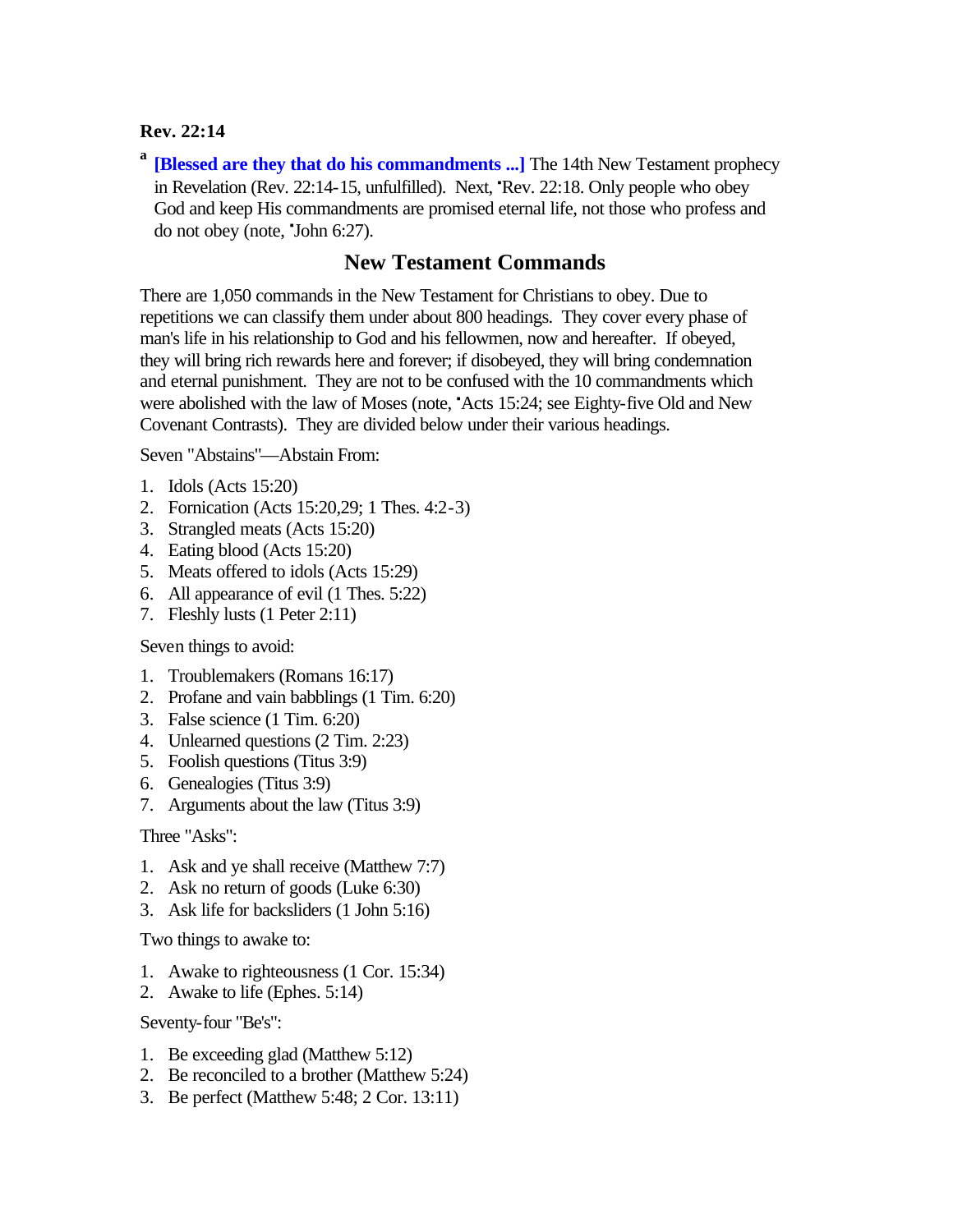## **Rev. 22:14**

**a [Blessed are they that do his commandments ...]** The 14th New Testament prophecy in Revelation (Rev.  $22:14-15$ , unfulfilled). Next, Rev.  $22:18$ . Only people who obey God and keep His commandments are promised eternal life, not those who profess and do not obey (note, 'John 6:27).

## **New Testament Commands**

There are 1,050 commands in the New Testament for Christians to obey. Due to repetitions we can classify them under about 800 headings. They cover every phase of man's life in his relationship to God and his fellowmen, now and hereafter. If obeyed, they will bring rich rewards here and forever; if disobeyed, they will bring condemnation and eternal punishment. They are not to be confused with the 10 commandments which were abolished with the law of Moses (note, "Acts 15:24; see Eighty-five Old and New Covenant Contrasts). They are divided below under their various headings.

Seven "Abstains"—Abstain From:

- 1. Idols (Acts 15:20)
- 2. Fornication (Acts 15:20,29; 1 Thes. 4:2-3)
- 3. Strangled meats (Acts 15:20)
- 4. Eating blood (Acts 15:20)
- 5. Meats offered to idols (Acts 15:29)
- 6. All appearance of evil (1 Thes. 5:22)
- 7. Fleshly lusts (1 Peter 2:11)

Seven things to avoid:

- 1. Troublemakers (Romans 16:17)
- 2. Profane and vain babblings (1 Tim. 6:20)
- 3. False science (1 Tim. 6:20)
- 4. Unlearned questions (2 Tim. 2:23)
- 5. Foolish questions (Titus 3:9)
- 6. Genealogies (Titus 3:9)
- 7. Arguments about the law (Titus 3:9)

Three "Asks":

- 1. Ask and ye shall receive (Matthew 7:7)
- 2. Ask no return of goods (Luke 6:30)
- 3. Ask life for backsliders (1 John 5:16)

Two things to awake to:

- 1. Awake to righteousness (1 Cor. 15:34)
- 2. Awake to life (Ephes. 5:14)

Seventy-four "Be's":

- 1. Be exceeding glad (Matthew 5:12)
- 2. Be reconciled to a brother (Matthew 5:24)
- 3. Be perfect (Matthew 5:48; 2 Cor. 13:11)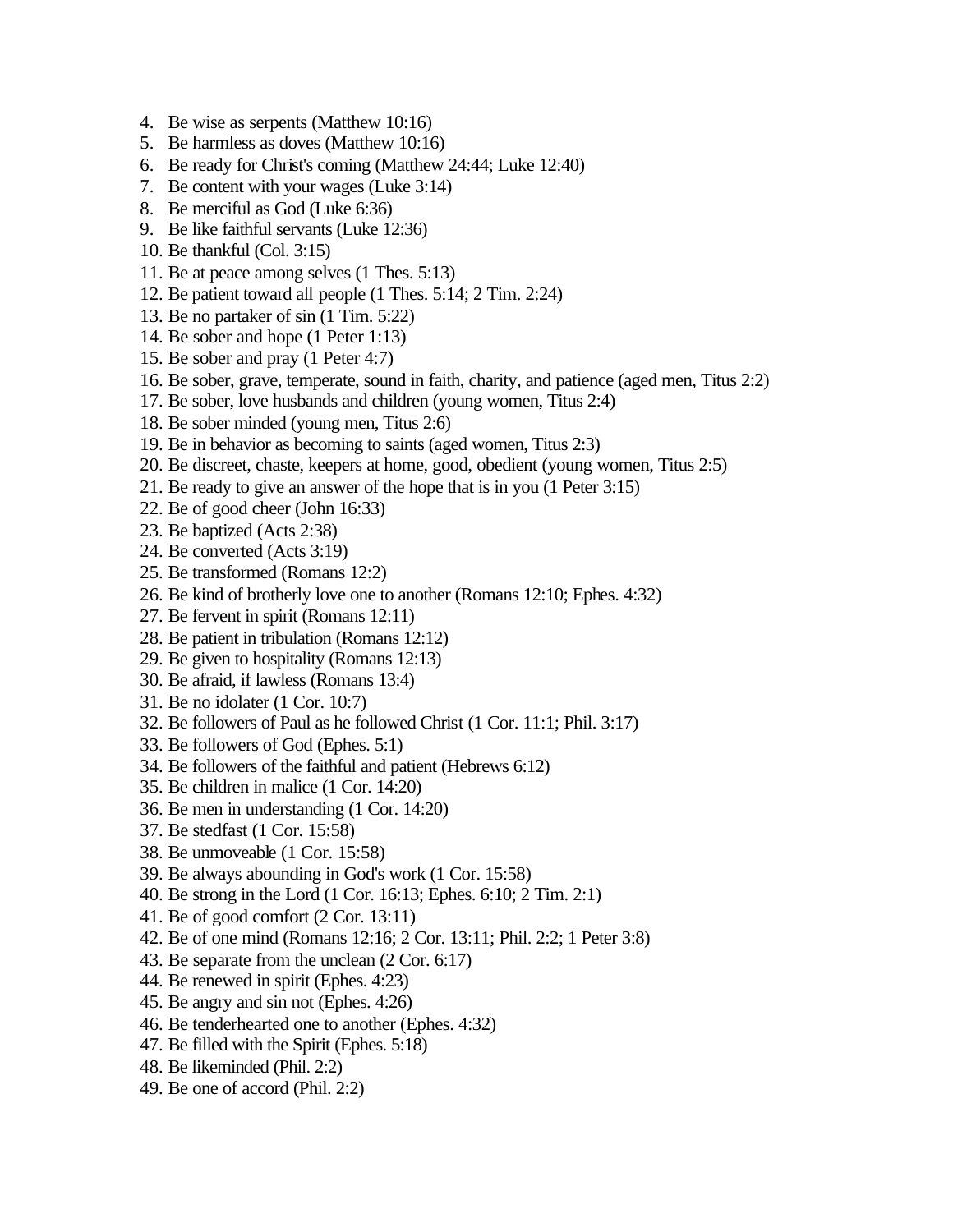- 4. Be wise as serpents (Matthew 10:16)
- 5. Be harmless as doves (Matthew 10:16)
- 6. Be ready for Christ's coming (Matthew 24:44; Luke 12:40)
- 7. Be content with your wages (Luke 3:14)
- 8. Be merciful as God (Luke 6:36)
- 9. Be like faithful servants (Luke 12:36)
- 10. Be thankful (Col. 3:15)
- 11. Be at peace among selves (1 Thes. 5:13)
- 12. Be patient toward all people (1 Thes. 5:14; 2 Tim. 2:24)
- 13. Be no partaker of sin (1 Tim. 5:22)
- 14. Be sober and hope (1 Peter 1:13)
- 15. Be sober and pray (1 Peter 4:7)
- 16. Be sober, grave, temperate, sound in faith, charity, and patience (aged men, Titus 2:2)
- 17. Be sober, love husbands and children (young women, Titus 2:4)
- 18. Be sober minded (young men, Titus 2:6)
- 19. Be in behavior as becoming to saints (aged women, Titus 2:3)
- 20. Be discreet, chaste, keepers at home, good, obedient (young women, Titus 2:5)
- 21. Be ready to give an answer of the hope that is in you (1 Peter 3:15)
- 22. Be of good cheer (John 16:33)
- 23. Be baptized (Acts 2:38)
- 24. Be converted (Acts 3:19)
- 25. Be transformed (Romans 12:2)
- 26. Be kind of brotherly love one to another (Romans 12:10; Ephes. 4:32)
- 27. Be fervent in spirit (Romans 12:11)
- 28. Be patient in tribulation (Romans 12:12)
- 29. Be given to hospitality (Romans 12:13)
- 30. Be afraid, if lawless (Romans 13:4)
- 31. Be no idolater (1 Cor. 10:7)
- 32. Be followers of Paul as he followed Christ (1 Cor. 11:1; Phil. 3:17)
- 33. Be followers of God (Ephes. 5:1)
- 34. Be followers of the faithful and patient (Hebrews 6:12)
- 35. Be children in malice (1 Cor. 14:20)
- 36. Be men in understanding (1 Cor. 14:20)
- 37. Be stedfast (1 Cor. 15:58)
- 38. Be unmoveable (1 Cor. 15:58)
- 39. Be always abounding in God's work (1 Cor. 15:58)
- 40. Be strong in the Lord (1 Cor. 16:13; Ephes. 6:10; 2 Tim. 2:1)
- 41. Be of good comfort (2 Cor. 13:11)
- 42. Be of one mind (Romans 12:16; 2 Cor. 13:11; Phil. 2:2; 1 Peter 3:8)
- 43. Be separate from the unclean (2 Cor. 6:17)
- 44. Be renewed in spirit (Ephes. 4:23)
- 45. Be angry and sin not (Ephes. 4:26)
- 46. Be tenderhearted one to another (Ephes. 4:32)
- 47. Be filled with the Spirit (Ephes. 5:18)
- 48. Be likeminded (Phil. 2:2)
- 49. Be one of accord (Phil. 2:2)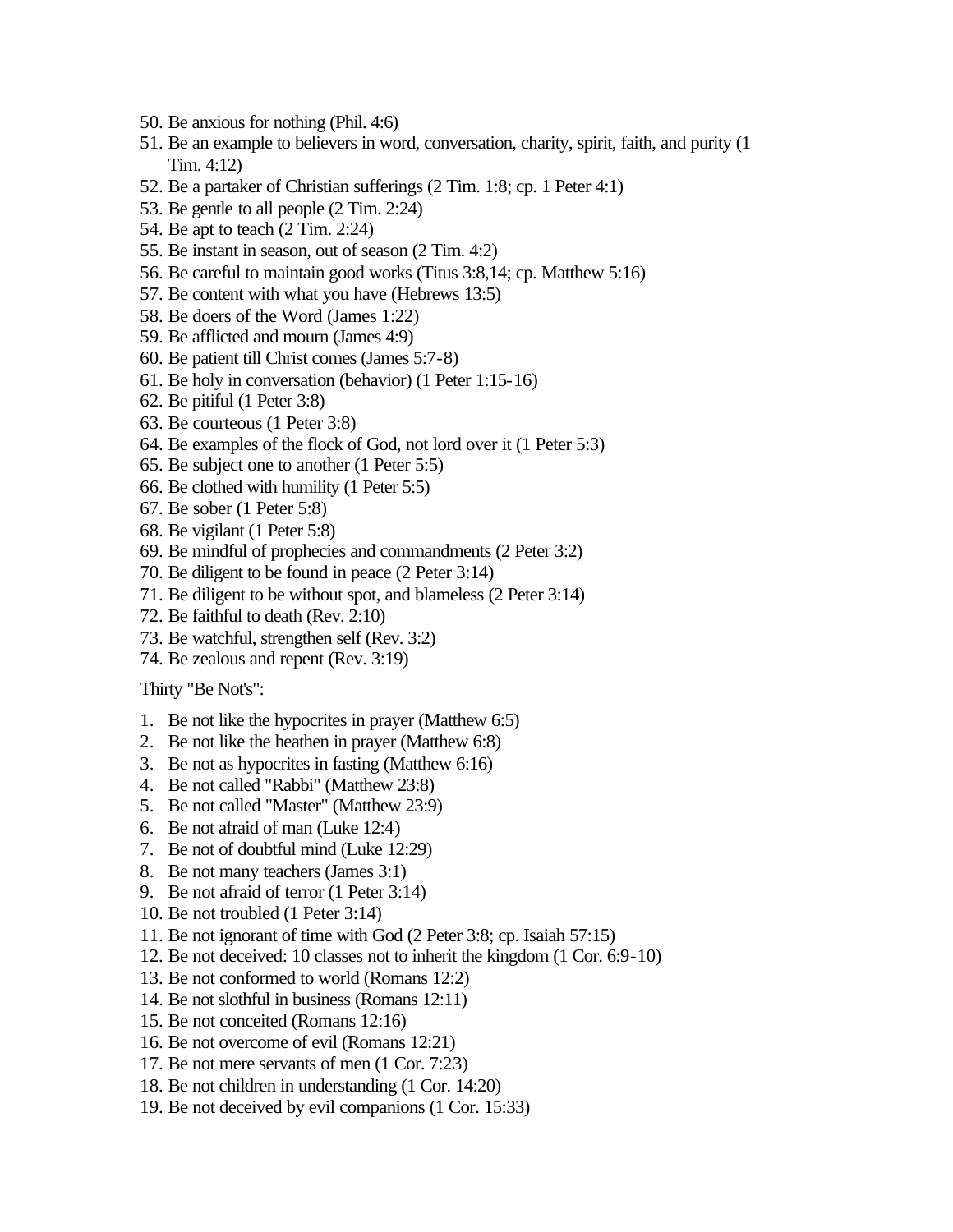- 50. Be anxious for nothing (Phil. 4:6)
- 51. Be an example to believers in word, conversation, charity, spirit, faith, and purity (1 Tim. 4:12)
- 52. Be a partaker of Christian sufferings (2 Tim. 1:8; cp. 1 Peter 4:1)
- 53. Be gentle to all people (2 Tim. 2:24)
- 54. Be apt to teach (2 Tim. 2:24)
- 55. Be instant in season, out of season (2 Tim. 4:2)
- 56. Be careful to maintain good works (Titus 3:8,14; cp. Matthew 5:16)
- 57. Be content with what you have (Hebrews 13:5)
- 58. Be doers of the Word (James 1:22)
- 59. Be afflicted and mourn (James 4:9)
- 60. Be patient till Christ comes (James 5:7-8)
- 61. Be holy in conversation (behavior) (1 Peter 1:15-16)
- 62. Be pitiful (1 Peter 3:8)
- 63. Be courteous (1 Peter 3:8)
- 64. Be examples of the flock of God, not lord over it (1 Peter 5:3)
- 65. Be subject one to another (1 Peter 5:5)
- 66. Be clothed with humility (1 Peter 5:5)
- 67. Be sober (1 Peter 5:8)
- 68. Be vigilant (1 Peter 5:8)
- 69. Be mindful of prophecies and commandments (2 Peter 3:2)
- 70. Be diligent to be found in peace (2 Peter 3:14)
- 71. Be diligent to be without spot, and blameless (2 Peter 3:14)
- 72. Be faithful to death (Rev. 2:10)
- 73. Be watchful, strengthen self (Rev. 3:2)
- 74. Be zealous and repent (Rev. 3:19)

Thirty "Be Not's":

- 1. Be not like the hypocrites in prayer (Matthew 6:5)
- 2. Be not like the heathen in prayer (Matthew 6:8)
- 3. Be not as hypocrites in fasting (Matthew 6:16)
- 4. Be not called "Rabbi" (Matthew 23:8)
- 5. Be not called "Master" (Matthew 23:9)
- 6. Be not afraid of man (Luke 12:4)
- 7. Be not of doubtful mind (Luke 12:29)
- 8. Be not many teachers (James 3:1)
- 9. Be not afraid of terror (1 Peter 3:14)
- 10. Be not troubled (1 Peter 3:14)
- 11. Be not ignorant of time with God (2 Peter 3:8; cp. Isaiah 57:15)
- 12. Be not deceived: 10 classes not to inherit the kingdom (1 Cor. 6:9-10)
- 13. Be not conformed to world (Romans 12:2)
- 14. Be not slothful in business (Romans 12:11)
- 15. Be not conceited (Romans 12:16)
- 16. Be not overcome of evil (Romans 12:21)
- 17. Be not mere servants of men (1 Cor. 7:23)
- 18. Be not children in understanding (1 Cor. 14:20)
- 19. Be not deceived by evil companions (1 Cor. 15:33)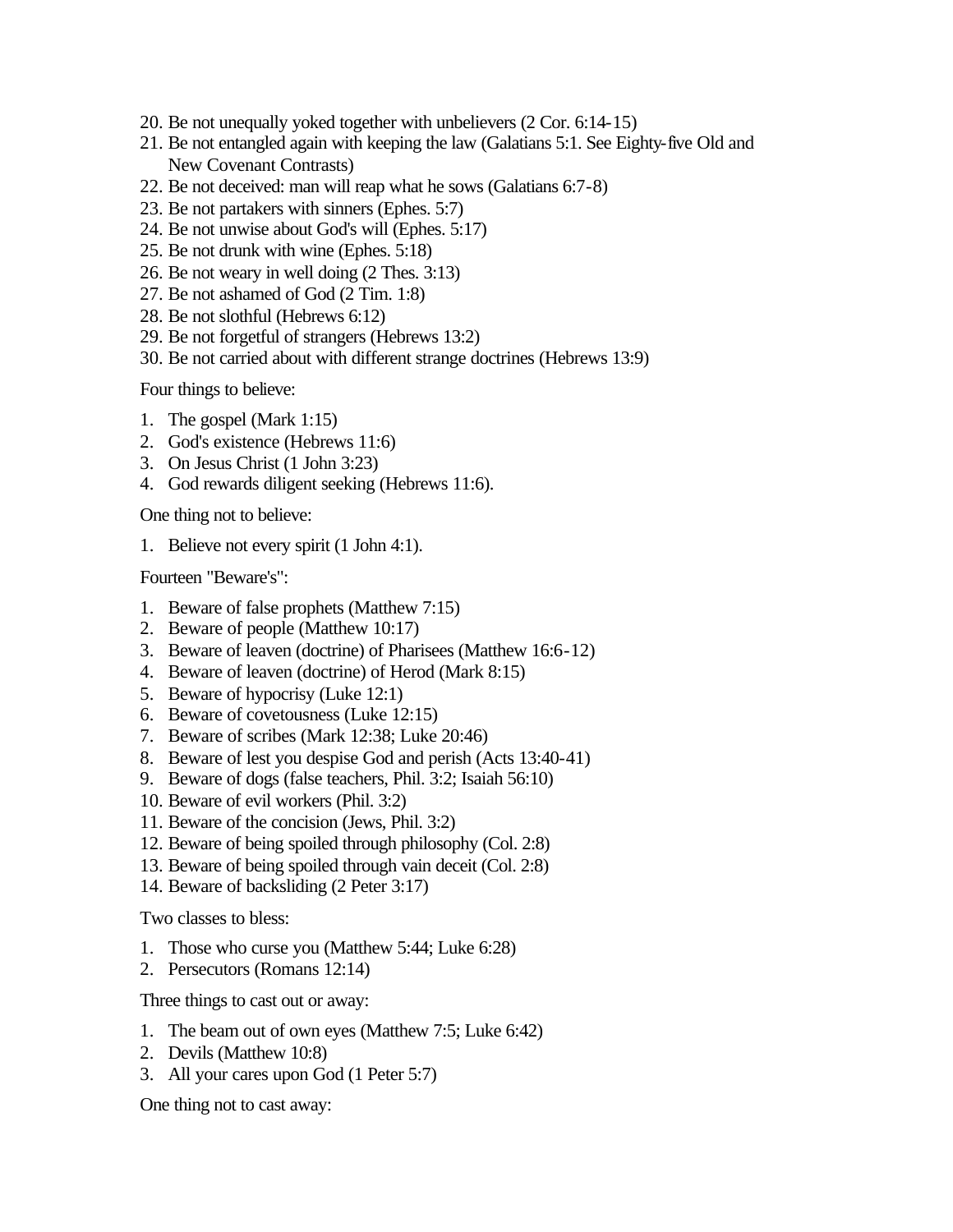- 20. Be not unequally yoked together with unbelievers (2 Cor. 6:14-15)
- 21. Be not entangled again with keeping the law (Galatians 5:1. See Eighty-five Old and New Covenant Contrasts)
- 22. Be not deceived: man will reap what he sows (Galatians 6:7-8)
- 23. Be not partakers with sinners (Ephes. 5:7)
- 24. Be not unwise about God's will (Ephes. 5:17)
- 25. Be not drunk with wine (Ephes. 5:18)
- 26. Be not weary in well doing (2 Thes. 3:13)
- 27. Be not ashamed of God (2 Tim. 1:8)
- 28. Be not slothful (Hebrews 6:12)
- 29. Be not forgetful of strangers (Hebrews 13:2)
- 30. Be not carried about with different strange doctrines (Hebrews 13:9)

Four things to believe:

- 1. The gospel (Mark 1:15)
- 2. God's existence (Hebrews 11:6)
- 3. On Jesus Christ (1 John 3:23)
- 4. God rewards diligent seeking (Hebrews 11:6).

One thing not to believe:

1. Believe not every spirit (1 John 4:1).

Fourteen "Beware's":

- 1. Beware of false prophets (Matthew 7:15)
- 2. Beware of people (Matthew 10:17)
- 3. Beware of leaven (doctrine) of Pharisees (Matthew 16:6-12)
- 4. Beware of leaven (doctrine) of Herod (Mark 8:15)
- 5. Beware of hypocrisy (Luke 12:1)
- 6. Beware of covetousness (Luke 12:15)
- 7. Beware of scribes (Mark 12:38; Luke 20:46)
- 8. Beware of lest you despise God and perish (Acts 13:40-41)
- 9. Beware of dogs (false teachers, Phil. 3:2; Isaiah 56:10)
- 10. Beware of evil workers (Phil. 3:2)
- 11. Beware of the concision (Jews, Phil. 3:2)
- 12. Beware of being spoiled through philosophy (Col. 2:8)
- 13. Beware of being spoiled through vain deceit (Col. 2:8)
- 14. Beware of backsliding (2 Peter 3:17)

Two classes to bless:

- 1. Those who curse you (Matthew 5:44; Luke 6:28)
- 2. Persecutors (Romans 12:14)

Three things to cast out or away:

- 1. The beam out of own eyes (Matthew 7:5; Luke 6:42)
- 2. Devils (Matthew 10:8)
- 3. All your cares upon God (1 Peter 5:7)

One thing not to cast away: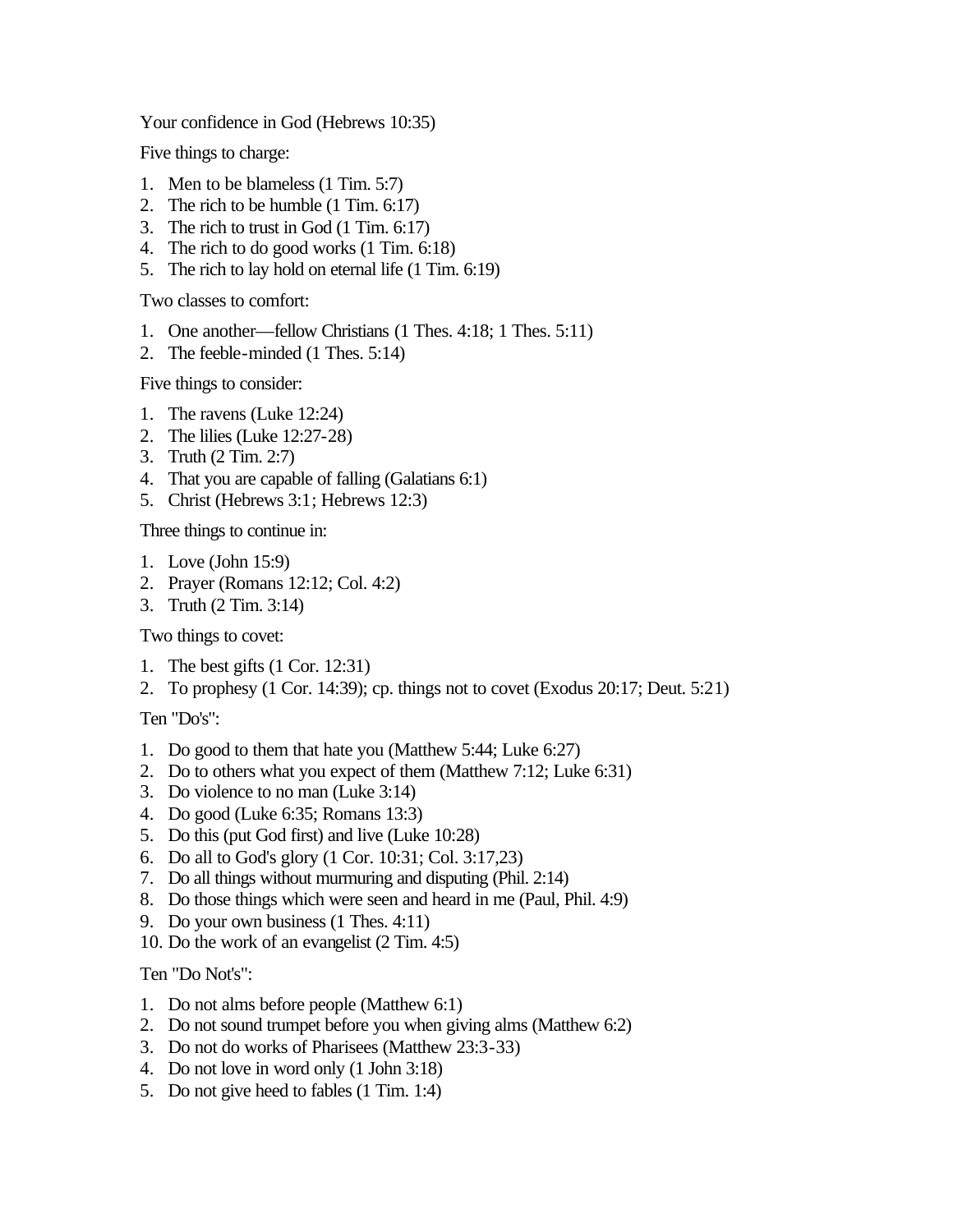Your confidence in God (Hebrews 10:35)

Five things to charge:

- 1. Men to be blameless (1 Tim. 5:7)
- 2. The rich to be humble (1 Tim. 6:17)
- 3. The rich to trust in God (1 Tim. 6:17)
- 4. The rich to do good works (1 Tim. 6:18)
- 5. The rich to lay hold on eternal life (1 Tim. 6:19)

Two classes to comfort:

- 1. One another—fellow Christians (1 Thes. 4:18; 1 Thes. 5:11)
- 2. The feeble-minded (1 Thes. 5:14)

Five things to consider:

- 1. The ravens (Luke 12:24)
- 2. The lilies (Luke 12:27-28)
- 3. Truth (2 Tim. 2:7)
- 4. That you are capable of falling (Galatians 6:1)
- 5. Christ (Hebrews 3:1; Hebrews 12:3)

Three things to continue in:

- 1. Love (John 15:9)
- 2. Prayer (Romans 12:12; Col. 4:2)
- 3. Truth (2 Tim. 3:14)

Two things to covet:

- 1. The best gifts (1 Cor. 12:31)
- 2. To prophesy (1 Cor. 14:39); cp. things not to covet (Exodus 20:17; Deut. 5:21)

Ten "Do's":

- 1. Do good to them that hate you (Matthew 5:44; Luke 6:27)
- 2. Do to others what you expect of them (Matthew 7:12; Luke 6:31)
- 3. Do violence to no man (Luke 3:14)
- 4. Do good (Luke 6:35; Romans 13:3)
- 5. Do this (put God first) and live (Luke 10:28)
- 6. Do all to God's glory (1 Cor. 10:31; Col. 3:17,23)
- 7. Do all things without murmuring and disputing (Phil. 2:14)
- 8. Do those things which were seen and heard in me (Paul, Phil. 4:9)
- 9. Do your own business (1 Thes. 4:11)
- 10. Do the work of an evangelist (2 Tim. 4:5)

Ten "Do Not's":

- 1. Do not alms before people (Matthew 6:1)
- 2. Do not sound trumpet before you when giving alms (Matthew 6:2)
- 3. Do not do works of Pharisees (Matthew 23:3-33)
- 4. Do not love in word only (1 John 3:18)
- 5. Do not give heed to fables (1 Tim. 1:4)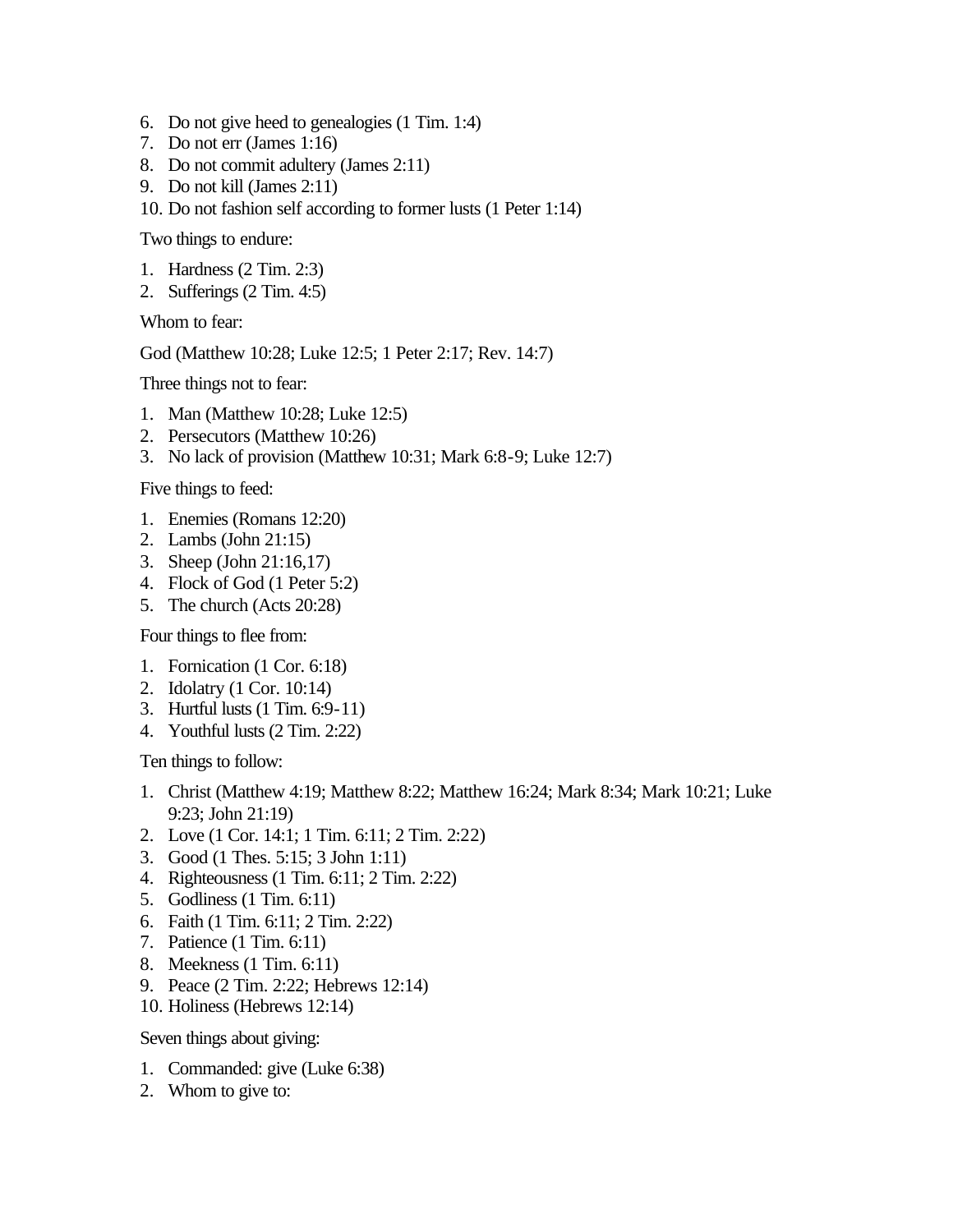- 6. Do not give heed to genealogies (1 Tim. 1:4)
- 7. Do not err (James 1:16)
- 8. Do not commit adultery (James 2:11)
- 9. Do not kill (James 2:11)
- 10. Do not fashion self according to former lusts (1 Peter 1:14)

Two things to endure:

- 1. Hardness (2 Tim. 2:3)
- 2. Sufferings (2 Tim. 4:5)

Whom to fear:

God (Matthew 10:28; Luke 12:5; 1 Peter 2:17; Rev. 14:7)

Three things not to fear:

- 1. Man (Matthew 10:28; Luke 12:5)
- 2. Persecutors (Matthew 10:26)
- 3. No lack of provision (Matthew 10:31; Mark 6:8-9; Luke 12:7)

Five things to feed:

- 1. Enemies (Romans 12:20)
- 2. Lambs (John 21:15)
- 3. Sheep (John 21:16,17)
- 4. Flock of God (1 Peter 5:2)
- 5. The church (Acts 20:28)

Four things to flee from:

- 1. Fornication (1 Cor. 6:18)
- 2. Idolatry (1 Cor. 10:14)
- 3. Hurtful lusts (1 Tim. 6:9-11)
- 4. Youthful lusts (2 Tim. 2:22)

Ten things to follow:

- 1. Christ (Matthew 4:19; Matthew 8:22; Matthew 16:24; Mark 8:34; Mark 10:21; Luke 9:23; John 21:19)
- 2. Love (1 Cor. 14:1; 1 Tim. 6:11; 2 Tim. 2:22)
- 3. Good (1 Thes. 5:15; 3 John 1:11)
- 4. Righteousness (1 Tim. 6:11; 2 Tim. 2:22)
- 5. Godliness (1 Tim. 6:11)
- 6. Faith (1 Tim. 6:11; 2 Tim. 2:22)
- 7. Patience (1 Tim. 6:11)
- 8. Meekness (1 Tim. 6:11)
- 9. Peace (2 Tim. 2:22; Hebrews 12:14)
- 10. Holiness (Hebrews 12:14)

Seven things about giving:

- 1. Commanded: give (Luke 6:38)
- 2. Whom to give to: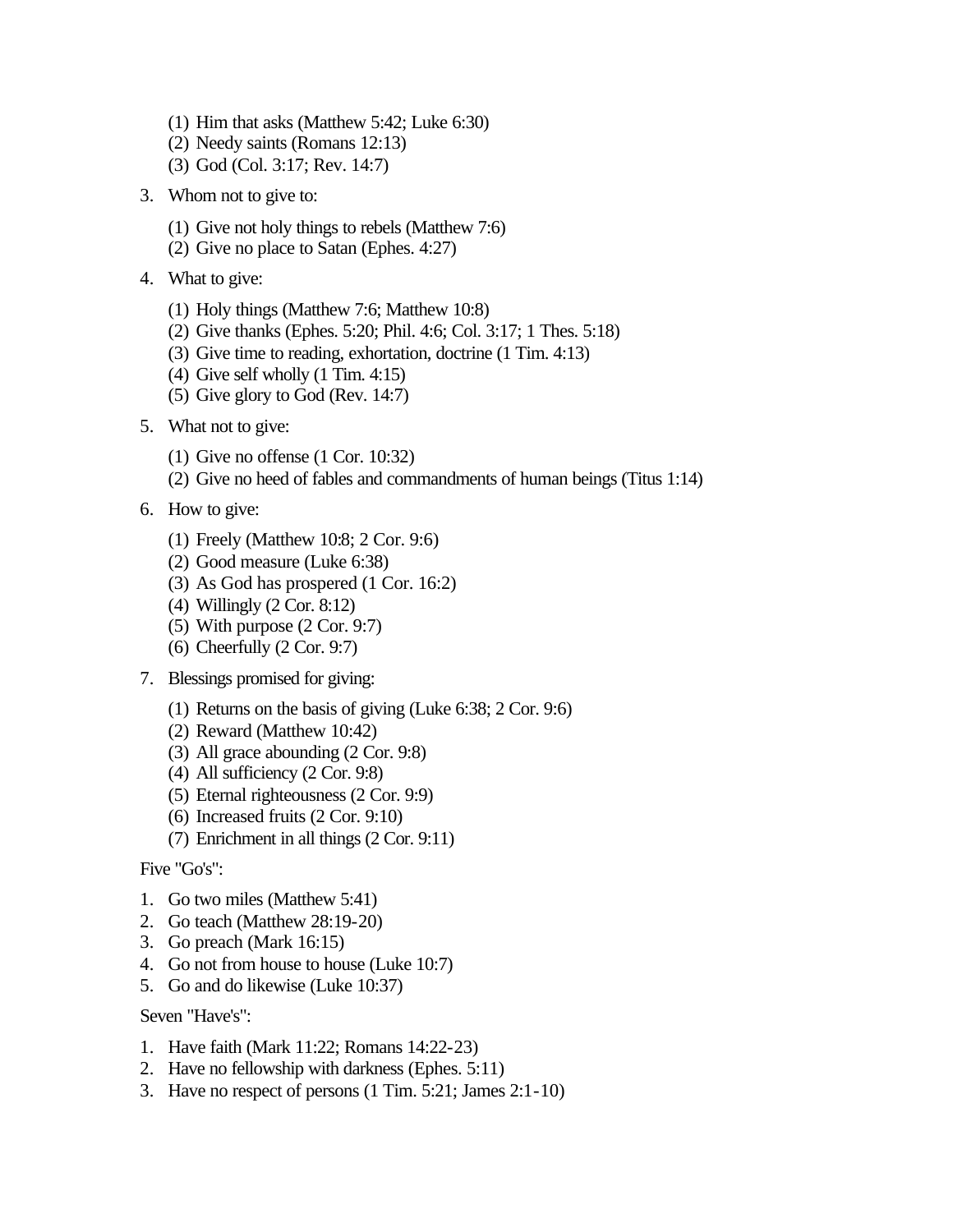- (1) Him that asks (Matthew 5:42; Luke 6:30)
- (2) Needy saints (Romans 12:13)
- (3) God (Col. 3:17; Rev. 14:7)
- 3. Whom not to give to:
	- (1) Give not holy things to rebels (Matthew 7:6)
	- (2) Give no place to Satan (Ephes. 4:27)
- 4. What to give:
	- (1) Holy things (Matthew 7:6; Matthew 10:8)
	- (2) Give thanks (Ephes. 5:20; Phil. 4:6; Col. 3:17; 1 Thes. 5:18)
	- (3) Give time to reading, exhortation, doctrine (1 Tim. 4:13)
	- (4) Give self wholly (1 Tim. 4:15)
	- (5) Give glory to God (Rev. 14:7)
- 5. What not to give:
	- (1) Give no offense (1 Cor. 10:32)
	- (2) Give no heed of fables and commandments of human beings (Titus 1:14)
- 6. How to give:
	- (1) Freely (Matthew 10:8; 2 Cor. 9:6)
	- (2) Good measure (Luke 6:38)
	- (3) As God has prospered (1 Cor. 16:2)
	- (4) Willingly (2 Cor. 8:12)
	- (5) With purpose (2 Cor. 9:7)
	- (6) Cheerfully (2 Cor. 9:7)
- 7. Blessings promised for giving:
	- (1) Returns on the basis of giving (Luke 6:38; 2 Cor. 9:6)
	- (2) Reward (Matthew 10:42)
	- (3) All grace abounding (2 Cor. 9:8)
	- (4) All sufficiency (2 Cor. 9:8)
	- (5) Eternal righteousness (2 Cor. 9:9)
	- (6) Increased fruits (2 Cor. 9:10)
	- (7) Enrichment in all things (2 Cor. 9:11)

Five "Go's":

- 1. Go two miles (Matthew 5:41)
- 2. Go teach (Matthew 28:19-20)
- 3. Go preach (Mark 16:15)
- 4. Go not from house to house (Luke 10:7)
- 5. Go and do likewise (Luke 10:37)

## Seven "Have's":

- 1. Have faith (Mark 11:22; Romans 14:22-23)
- 2. Have no fellowship with darkness (Ephes. 5:11)
- 3. Have no respect of persons (1 Tim. 5:21; James 2:1-10)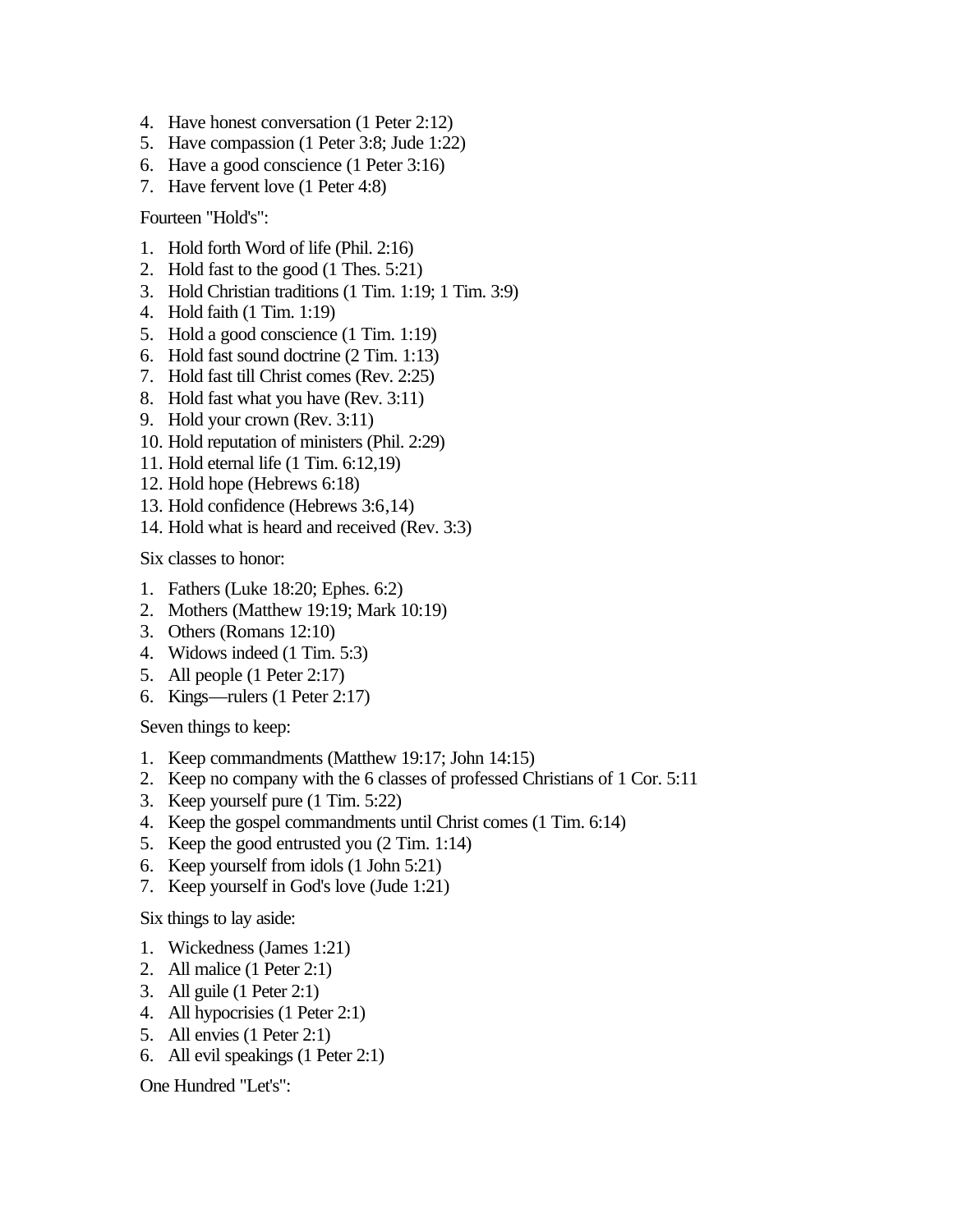- 4. Have honest conversation (1 Peter 2:12)
- 5. Have compassion (1 Peter 3:8; Jude 1:22)
- 6. Have a good conscience (1 Peter 3:16)
- 7. Have fervent love (1 Peter 4:8)

Fourteen "Hold's":

- 1. Hold forth Word of life (Phil. 2:16)
- 2. Hold fast to the good (1 Thes. 5:21)
- 3. Hold Christian traditions (1 Tim. 1:19; 1 Tim. 3:9)
- 4. Hold faith (1 Tim. 1:19)
- 5. Hold a good conscience (1 Tim. 1:19)
- 6. Hold fast sound doctrine (2 Tim. 1:13)
- 7. Hold fast till Christ comes (Rev. 2:25)
- 8. Hold fast what you have (Rev. 3:11)
- 9. Hold your crown (Rev. 3:11)
- 10. Hold reputation of ministers (Phil. 2:29)
- 11. Hold eternal life (1 Tim. 6:12,19)
- 12. Hold hope (Hebrews 6:18)
- 13. Hold confidence (Hebrews 3:6,14)
- 14. Hold what is heard and received (Rev. 3:3)

Six classes to honor:

- 1. Fathers (Luke 18:20; Ephes. 6:2)
- 2. Mothers (Matthew 19:19; Mark 10:19)
- 3. Others (Romans 12:10)
- 4. Widows indeed (1 Tim. 5:3)
- 5. All people (1 Peter 2:17)
- 6. Kings—rulers (1 Peter 2:17)

Seven things to keep:

- 1. Keep commandments (Matthew 19:17; John 14:15)
- 2. Keep no company with the 6 classes of professed Christians of 1 Cor. 5:11
- 3. Keep yourself pure (1 Tim. 5:22)
- 4. Keep the gospel commandments until Christ comes (1 Tim. 6:14)
- 5. Keep the good entrusted you (2 Tim. 1:14)
- 6. Keep yourself from idols (1 John 5:21)
- 7. Keep yourself in God's love (Jude 1:21)

Six things to lay aside:

- 1. Wickedness (James 1:21)
- 2. All malice (1 Peter 2:1)
- 3. All guile (1 Peter 2:1)
- 4. All hypocrisies (1 Peter 2:1)
- 5. All envies (1 Peter 2:1)
- 6. All evil speakings (1 Peter 2:1)

One Hundred "Let's":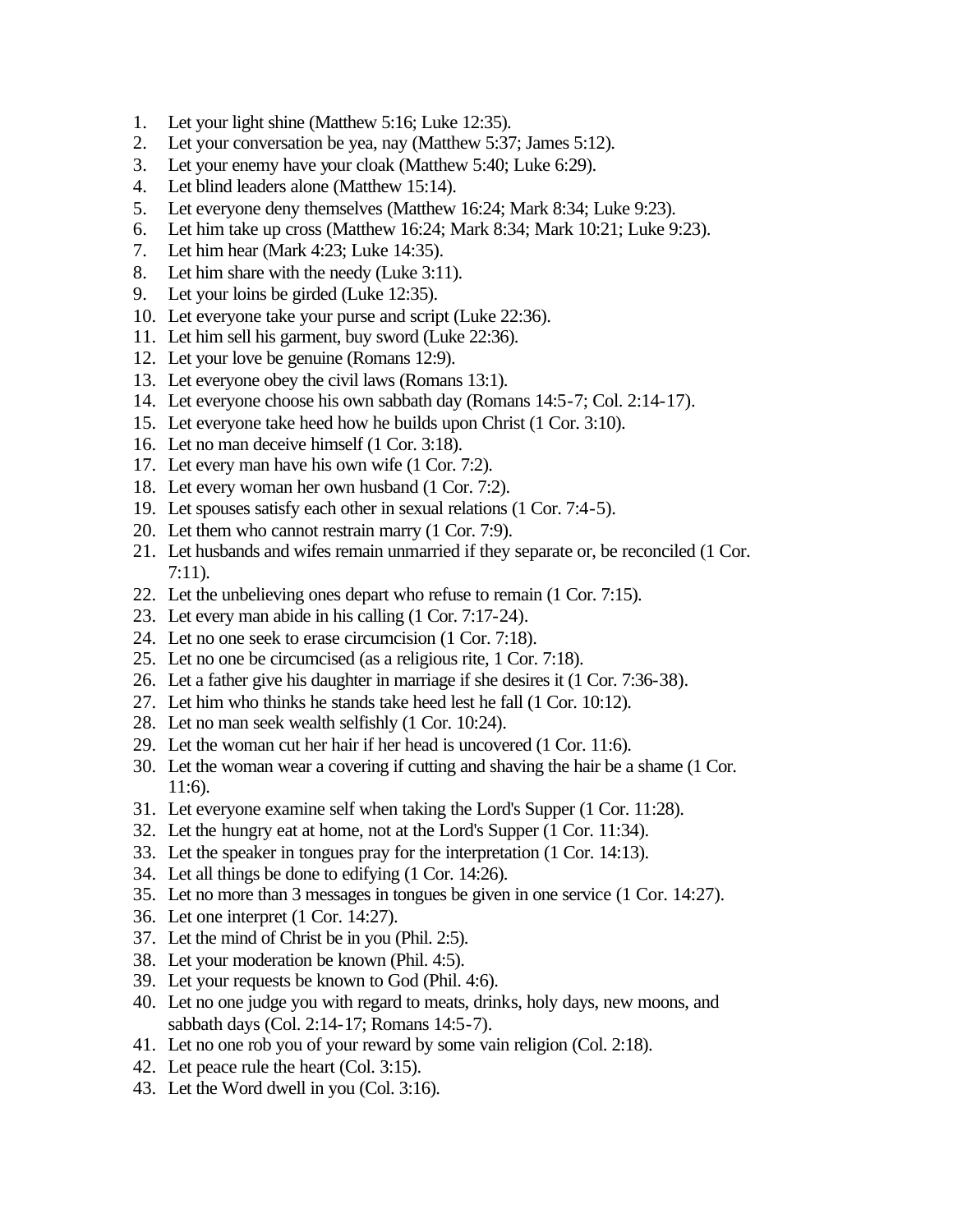- 1. Let your light shine (Matthew 5:16; Luke 12:35).
- 2. Let your conversation be yea, nay (Matthew 5:37; James 5:12).
- 3. Let your enemy have your cloak (Matthew 5:40; Luke 6:29).
- 4. Let blind leaders alone (Matthew 15:14).
- 5. Let everyone deny themselves (Matthew 16:24; Mark 8:34; Luke 9:23).
- 6. Let him take up cross (Matthew 16:24; Mark 8:34; Mark 10:21; Luke 9:23).
- 7. Let him hear (Mark 4:23; Luke 14:35).
- 8. Let him share with the needy (Luke 3:11).
- 9. Let your loins be girded (Luke 12:35).
- 10. Let everyone take your purse and script (Luke 22:36).
- 11. Let him sell his garment, buy sword (Luke 22:36).
- 12. Let your love be genuine (Romans 12:9).
- 13. Let everyone obey the civil laws (Romans 13:1).
- 14. Let everyone choose his own sabbath day (Romans 14:5-7; Col. 2:14-17).
- 15. Let everyone take heed how he builds upon Christ (1 Cor. 3:10).
- 16. Let no man deceive himself (1 Cor. 3:18).
- 17. Let every man have his own wife (1 Cor. 7:2).
- 18. Let every woman her own husband (1 Cor. 7:2).
- 19. Let spouses satisfy each other in sexual relations (1 Cor. 7:4-5).
- 20. Let them who cannot restrain marry (1 Cor. 7:9).
- 21. Let husbands and wifes remain unmarried if they separate or, be reconciled (1 Cor. 7:11).
- 22. Let the unbelieving ones depart who refuse to remain (1 Cor. 7:15).
- 23. Let every man abide in his calling (1 Cor. 7:17-24).
- 24. Let no one seek to erase circumcision (1 Cor. 7:18).
- 25. Let no one be circumcised (as a religious rite, 1 Cor. 7:18).
- 26. Let a father give his daughter in marriage if she desires it (1 Cor. 7:36-38).
- 27. Let him who thinks he stands take heed lest he fall (1 Cor. 10:12).
- 28. Let no man seek wealth selfishly (1 Cor. 10:24).
- 29. Let the woman cut her hair if her head is uncovered (1 Cor. 11:6).
- 30. Let the woman wear a covering if cutting and shaving the hair be a shame (1 Cor. 11:6).
- 31. Let everyone examine self when taking the Lord's Supper (1 Cor. 11:28).
- 32. Let the hungry eat at home, not at the Lord's Supper (1 Cor. 11:34).
- 33. Let the speaker in tongues pray for the interpretation (1 Cor. 14:13).
- 34. Let all things be done to edifying (1 Cor. 14:26).
- 35. Let no more than 3 messages in tongues be given in one service (1 Cor. 14:27).
- 36. Let one interpret (1 Cor. 14:27).
- 37. Let the mind of Christ be in you (Phil. 2:5).
- 38. Let your moderation be known (Phil. 4:5).
- 39. Let your requests be known to God (Phil. 4:6).
- 40. Let no one judge you with regard to meats, drinks, holy days, new moons, and sabbath days (Col. 2:14-17; Romans 14:5-7).
- 41. Let no one rob you of your reward by some vain religion (Col. 2:18).
- 42. Let peace rule the heart (Col. 3:15).
- 43. Let the Word dwell in you (Col. 3:16).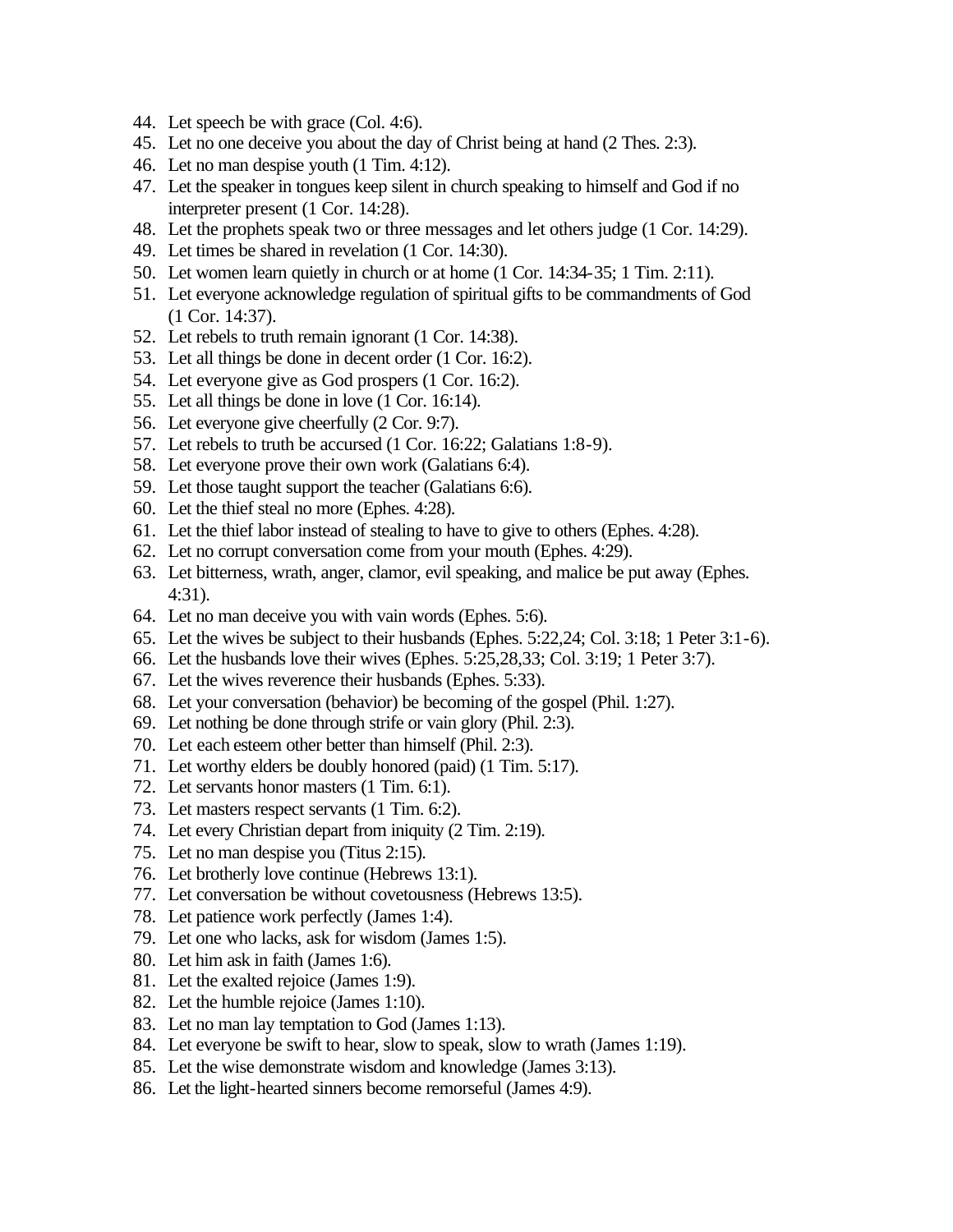- 44. Let speech be with grace (Col. 4:6).
- 45. Let no one deceive you about the day of Christ being at hand (2 Thes. 2:3).
- 46. Let no man despise youth (1 Tim. 4:12).
- 47. Let the speaker in tongues keep silent in church speaking to himself and God if no interpreter present (1 Cor. 14:28).
- 48. Let the prophets speak two or three messages and let others judge (1 Cor. 14:29).
- 49. Let times be shared in revelation (1 Cor. 14:30).
- 50. Let women learn quietly in church or at home (1 Cor. 14:34-35; 1 Tim. 2:11).
- 51. Let everyone acknowledge regulation of spiritual gifts to be commandments of God (1 Cor. 14:37).
- 52. Let rebels to truth remain ignorant (1 Cor. 14:38).
- 53. Let all things be done in decent order (1 Cor. 16:2).
- 54. Let everyone give as God prospers (1 Cor. 16:2).
- 55. Let all things be done in love (1 Cor. 16:14).
- 56. Let everyone give cheerfully (2 Cor. 9:7).
- 57. Let rebels to truth be accursed (1 Cor. 16:22; Galatians 1:8-9).
- 58. Let everyone prove their own work (Galatians 6:4).
- 59. Let those taught support the teacher (Galatians 6:6).
- 60. Let the thief steal no more (Ephes. 4:28).
- 61. Let the thief labor instead of stealing to have to give to others (Ephes. 4:28).
- 62. Let no corrupt conversation come from your mouth (Ephes. 4:29).
- 63. Let bitterness, wrath, anger, clamor, evil speaking, and malice be put away (Ephes. 4:31).
- 64. Let no man deceive you with vain words (Ephes. 5:6).
- 65. Let the wives be subject to their husbands (Ephes. 5:22,24; Col. 3:18; 1 Peter 3:1-6).
- 66. Let the husbands love their wives (Ephes. 5:25,28,33; Col. 3:19; 1 Peter 3:7).
- 67. Let the wives reverence their husbands (Ephes. 5:33).
- 68. Let your conversation (behavior) be becoming of the gospel (Phil. 1:27).
- 69. Let nothing be done through strife or vain glory (Phil. 2:3).
- 70. Let each esteem other better than himself (Phil. 2:3).
- 71. Let worthy elders be doubly honored (paid) (1 Tim. 5:17).
- 72. Let servants honor masters (1 Tim. 6:1).
- 73. Let masters respect servants (1 Tim. 6:2).
- 74. Let every Christian depart from iniquity (2 Tim. 2:19).
- 75. Let no man despise you (Titus 2:15).
- 76. Let brotherly love continue (Hebrews 13:1).
- 77. Let conversation be without covetousness (Hebrews 13:5).
- 78. Let patience work perfectly (James 1:4).
- 79. Let one who lacks, ask for wisdom (James 1:5).
- 80. Let him ask in faith (James 1:6).
- 81. Let the exalted rejoice (James 1:9).
- 82. Let the humble rejoice (James 1:10).
- 83. Let no man lay temptation to God (James 1:13).
- 84. Let everyone be swift to hear, slow to speak, slow to wrath (James 1:19).
- 85. Let the wise demonstrate wisdom and knowledge (James 3:13).
- 86. Let the light-hearted sinners become remorseful (James 4:9).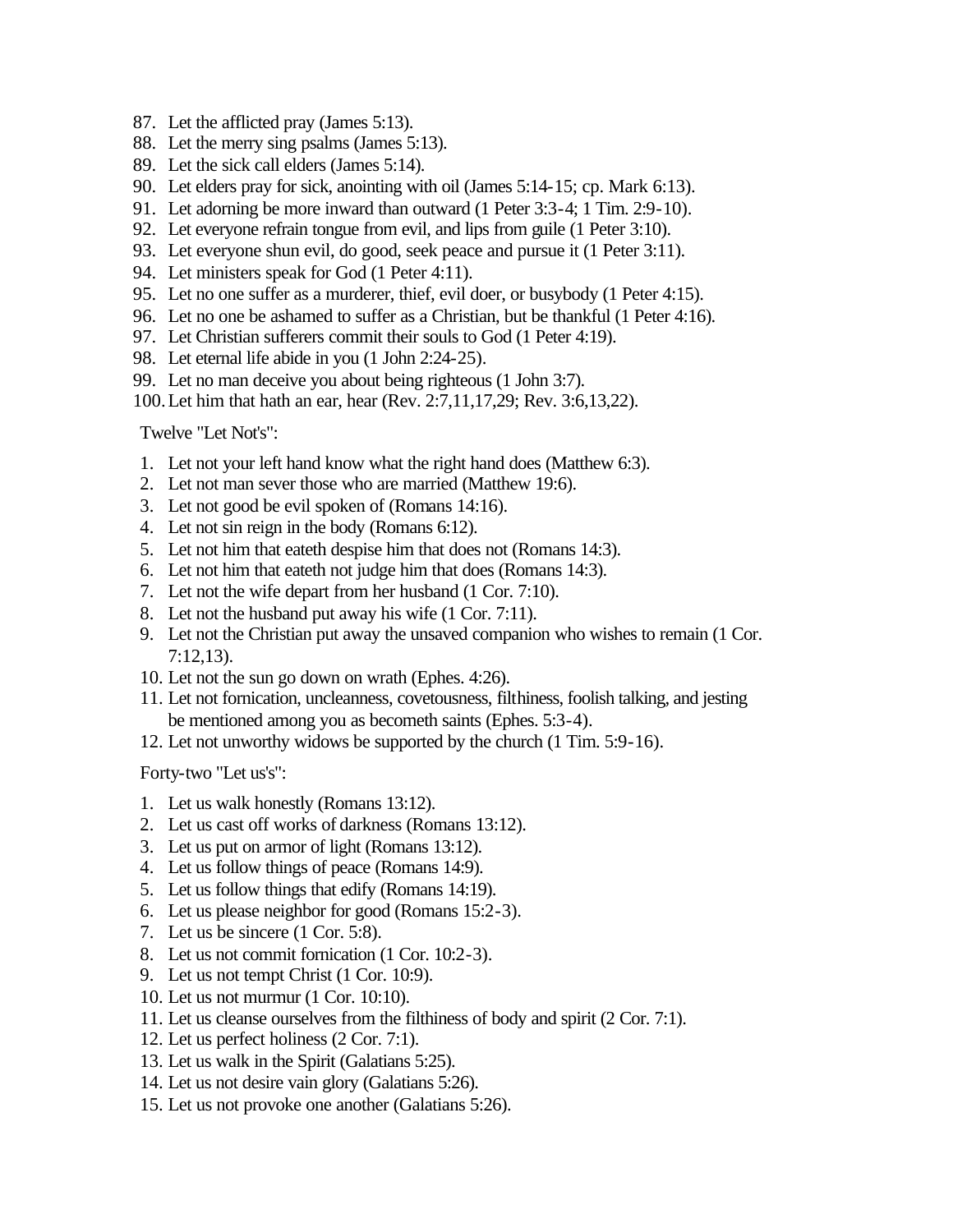- 87. Let the afflicted pray (James 5:13).
- 88. Let the merry sing psalms (James 5:13).
- 89. Let the sick call elders (James 5:14).
- 90. Let elders pray for sick, anointing with oil (James 5:14-15; cp. Mark 6:13).
- 91. Let adorning be more inward than outward (1 Peter 3:3-4; 1 Tim. 2:9-10).
- 92. Let everyone refrain tongue from evil, and lips from guile (1 Peter 3:10).
- 93. Let everyone shun evil, do good, seek peace and pursue it (1 Peter 3:11).
- 94. Let ministers speak for God (1 Peter 4:11).
- 95. Let no one suffer as a murderer, thief, evil doer, or busybody (1 Peter 4:15).
- 96. Let no one be ashamed to suffer as a Christian, but be thankful (1 Peter 4:16).
- 97. Let Christian sufferers commit their souls to God (1 Peter 4:19).
- 98. Let eternal life abide in you (1 John 2:24-25).
- 99. Let no man deceive you about being righteous (1 John 3:7).
- 100.Let him that hath an ear, hear (Rev. 2:7,11,17,29; Rev. 3:6,13,22).

Twelve "Let Not's":

- 1. Let not your left hand know what the right hand does (Matthew 6:3).
- 2. Let not man sever those who are married (Matthew 19:6).
- 3. Let not good be evil spoken of (Romans 14:16).
- 4. Let not sin reign in the body (Romans 6:12).
- 5. Let not him that eateth despise him that does not (Romans 14:3).
- 6. Let not him that eateth not judge him that does (Romans 14:3).
- 7. Let not the wife depart from her husband (1 Cor. 7:10).
- 8. Let not the husband put away his wife (1 Cor. 7:11).
- 9. Let not the Christian put away the unsaved companion who wishes to remain (1 Cor. 7:12,13).
- 10. Let not the sun go down on wrath (Ephes. 4:26).
- 11. Let not fornication, uncleanness, covetousness, filthiness, foolish talking, and jesting be mentioned among you as becometh saints (Ephes. 5:3-4).
- 12. Let not unworthy widows be supported by the church (1 Tim. 5:9-16).

Forty-two "Let us's":

- 1. Let us walk honestly (Romans 13:12).
- 2. Let us cast off works of darkness (Romans 13:12).
- 3. Let us put on armor of light (Romans 13:12).
- 4. Let us follow things of peace (Romans 14:9).
- 5. Let us follow things that edify (Romans 14:19).
- 6. Let us please neighbor for good (Romans 15:2-3).
- 7. Let us be sincere (1 Cor. 5:8).
- 8. Let us not commit fornication (1 Cor. 10:2-3).
- 9. Let us not tempt Christ (1 Cor. 10:9).
- 10. Let us not murmur (1 Cor. 10:10).
- 11. Let us cleanse ourselves from the filthiness of body and spirit (2 Cor. 7:1).
- 12. Let us perfect holiness (2 Cor. 7:1).
- 13. Let us walk in the Spirit (Galatians 5:25).
- 14. Let us not desire vain glory (Galatians 5:26).
- 15. Let us not provoke one another (Galatians 5:26).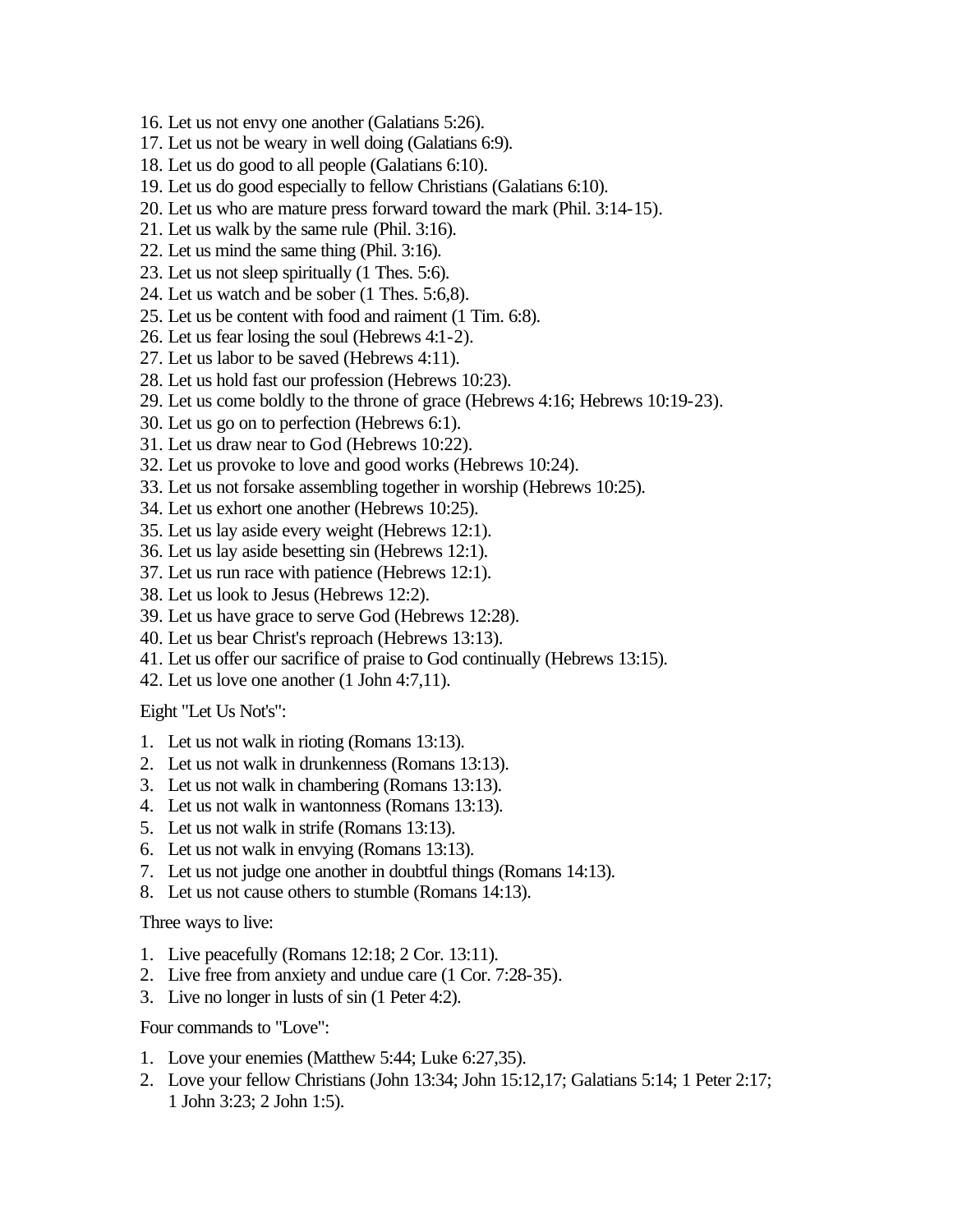- 16. Let us not envy one another (Galatians 5:26).
- 17. Let us not be weary in well doing (Galatians 6:9).
- 18. Let us do good to all people (Galatians 6:10).
- 19. Let us do good especially to fellow Christians (Galatians 6:10).
- 20. Let us who are mature press forward toward the mark (Phil. 3:14-15).
- 21. Let us walk by the same rule (Phil. 3:16).
- 22. Let us mind the same thing (Phil. 3:16).
- 23. Let us not sleep spiritually (1 Thes. 5:6).
- 24. Let us watch and be sober (1 Thes. 5:6,8).
- 25. Let us be content with food and raiment (1 Tim. 6:8).
- 26. Let us fear losing the soul (Hebrews 4:1-2).
- 27. Let us labor to be saved (Hebrews 4:11).
- 28. Let us hold fast our profession (Hebrews 10:23).
- 29. Let us come boldly to the throne of grace (Hebrews 4:16; Hebrews 10:19-23).
- 30. Let us go on to perfection (Hebrews 6:1).
- 31. Let us draw near to God (Hebrews 10:22).
- 32. Let us provoke to love and good works (Hebrews 10:24).
- 33. Let us not forsake assembling together in worship (Hebrews 10:25).
- 34. Let us exhort one another (Hebrews 10:25).
- 35. Let us lay aside every weight (Hebrews 12:1).
- 36. Let us lay aside besetting sin (Hebrews 12:1).
- 37. Let us run race with patience (Hebrews 12:1).
- 38. Let us look to Jesus (Hebrews 12:2).
- 39. Let us have grace to serve God (Hebrews 12:28).
- 40. Let us bear Christ's reproach (Hebrews 13:13).
- 41. Let us offer our sacrifice of praise to God continually (Hebrews 13:15).
- 42. Let us love one another (1 John 4:7,11).

Eight "Let Us Not's":

- 1. Let us not walk in rioting (Romans 13:13).
- 2. Let us not walk in drunkenness (Romans 13:13).
- 3. Let us not walk in chambering (Romans 13:13).
- 4. Let us not walk in wantonness (Romans 13:13).
- 5. Let us not walk in strife (Romans 13:13).
- 6. Let us not walk in envying (Romans 13:13).
- 7. Let us not judge one another in doubtful things (Romans 14:13).
- 8. Let us not cause others to stumble (Romans 14:13).

Three ways to live:

- 1. Live peacefully (Romans 12:18; 2 Cor. 13:11).
- 2. Live free from anxiety and undue care (1 Cor. 7:28-35).
- 3. Live no longer in lusts of sin (1 Peter 4:2).

Four commands to "Love":

- 1. Love your enemies (Matthew 5:44; Luke 6:27,35).
- 2. Love your fellow Christians (John 13:34; John 15:12,17; Galatians 5:14; 1 Peter 2:17; 1 John 3:23; 2 John 1:5).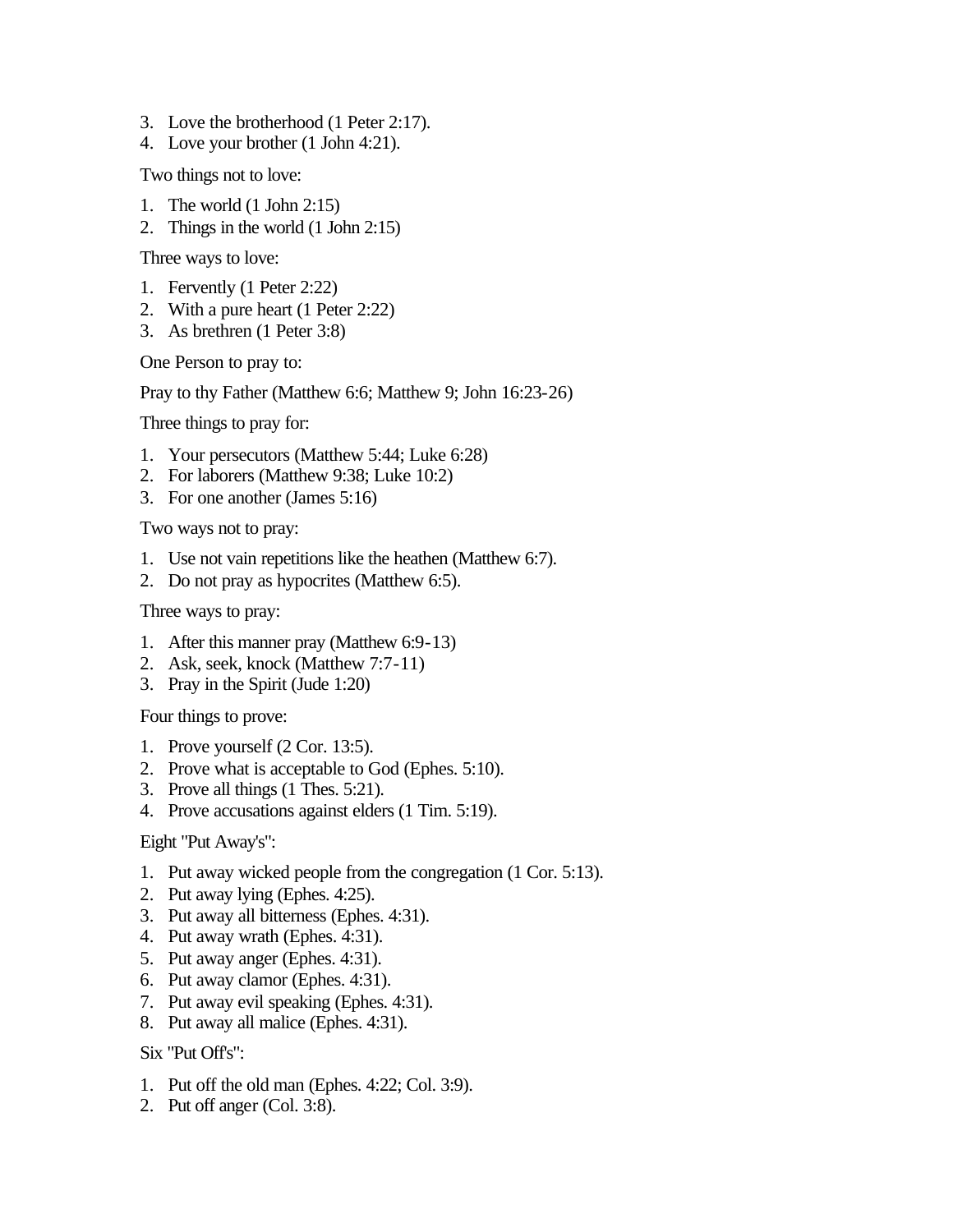- 3. Love the brotherhood (1 Peter 2:17).
- 4. Love your brother (1 John 4:21).

Two things not to love:

- 1. The world (1 John 2:15)
- 2. Things in the world (1 John 2:15)

Three ways to love:

- 1. Fervently (1 Peter 2:22)
- 2. With a pure heart (1 Peter 2:22)
- 3. As brethren (1 Peter 3:8)

One Person to pray to:

Pray to thy Father (Matthew 6:6; Matthew 9; John 16:23-26)

Three things to pray for:

- 1. Your persecutors (Matthew 5:44; Luke 6:28)
- 2. For laborers (Matthew 9:38; Luke 10:2)
- 3. For one another (James 5:16)

Two ways not to pray:

- 1. Use not vain repetitions like the heathen (Matthew 6:7).
- 2. Do not pray as hypocrites (Matthew 6:5).

Three ways to pray:

- 1. After this manner pray (Matthew 6:9-13)
- 2. Ask, seek, knock (Matthew 7:7-11)
- 3. Pray in the Spirit (Jude 1:20)

Four things to prove:

- 1. Prove yourself (2 Cor. 13:5).
- 2. Prove what is acceptable to God (Ephes. 5:10).
- 3. Prove all things (1 Thes. 5:21).
- 4. Prove accusations against elders (1 Tim. 5:19).

Eight "Put Away's":

- 1. Put away wicked people from the congregation (1 Cor. 5:13).
- 2. Put away lying (Ephes. 4:25).
- 3. Put away all bitterness (Ephes. 4:31).
- 4. Put away wrath (Ephes. 4:31).
- 5. Put away anger (Ephes. 4:31).
- 6. Put away clamor (Ephes. 4:31).
- 7. Put away evil speaking (Ephes. 4:31).
- 8. Put away all malice (Ephes. 4:31).

Six "Put Off's":

- 1. Put off the old man (Ephes. 4:22; Col. 3:9).
- 2. Put off anger (Col. 3:8).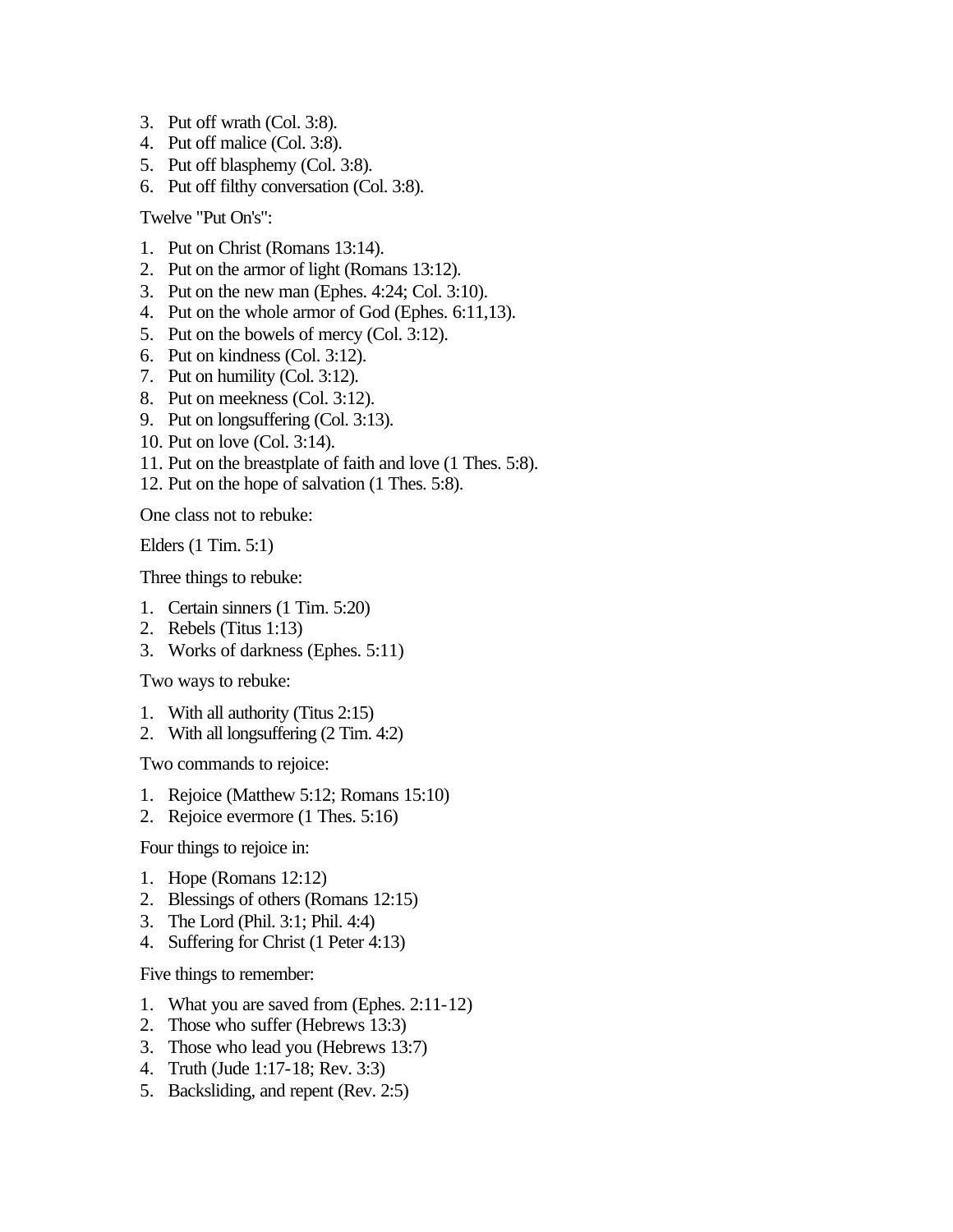- 3. Put off wrath (Col. 3:8).
- 4. Put off malice (Col. 3:8).
- 5. Put off blasphemy (Col. 3:8).
- 6. Put off filthy conversation (Col. 3:8).

Twelve "Put On's":

- 1. Put on Christ (Romans 13:14).
- 2. Put on the armor of light (Romans 13:12).
- 3. Put on the new man (Ephes. 4:24; Col. 3:10).
- 4. Put on the whole armor of God (Ephes. 6:11,13).
- 5. Put on the bowels of mercy (Col. 3:12).
- 6. Put on kindness (Col. 3:12).
- 7. Put on humility (Col. 3:12).
- 8. Put on meekness (Col. 3:12).
- 9. Put on longsuffering (Col. 3:13).
- 10. Put on love (Col. 3:14).
- 11. Put on the breastplate of faith and love (1 Thes. 5:8).
- 12. Put on the hope of salvation (1 Thes. 5:8).

One class not to rebuke:

Elders (1 Tim. 5:1)

Three things to rebuke:

- 1. Certain sinners (1 Tim. 5:20)
- 2. Rebels (Titus 1:13)
- 3. Works of darkness (Ephes. 5:11)

Two ways to rebuke:

- 1. With all authority (Titus 2:15)
- 2. With all longsuffering (2 Tim. 4:2)

Two commands to rejoice:

- 1. Rejoice (Matthew 5:12; Romans 15:10)
- 2. Rejoice evermore (1 Thes. 5:16)

Four things to rejoice in:

- 1. Hope (Romans 12:12)
- 2. Blessings of others (Romans 12:15)
- 3. The Lord (Phil. 3:1; Phil. 4:4)
- 4. Suffering for Christ (1 Peter 4:13)

Five things to remember:

- 1. What you are saved from (Ephes. 2:11-12)
- 2. Those who suffer (Hebrews 13:3)
- 3. Those who lead you (Hebrews 13:7)
- 4. Truth (Jude 1:17-18; Rev. 3:3)
- 5. Backsliding, and repent (Rev. 2:5)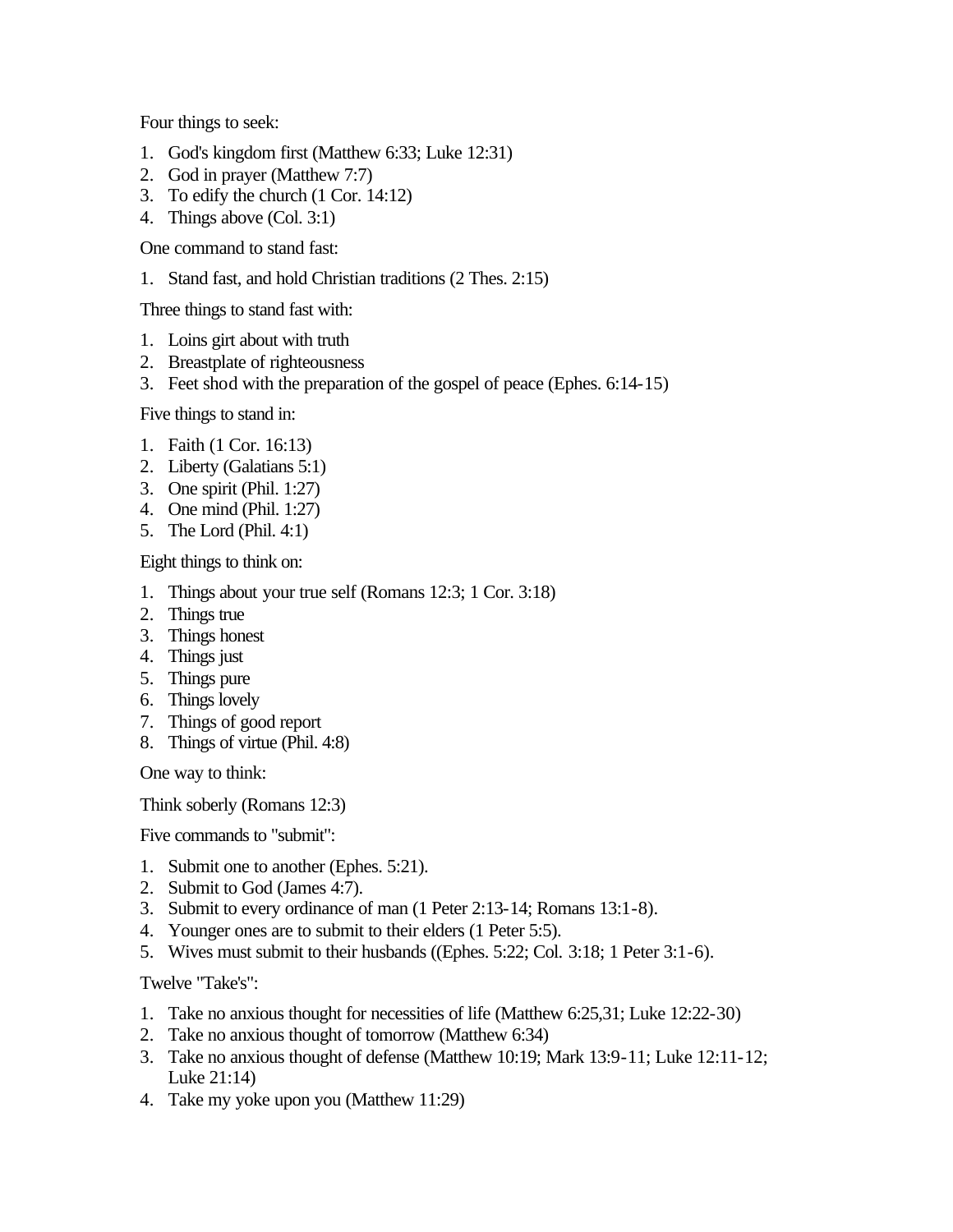Four things to seek:

- 1. God's kingdom first (Matthew 6:33; Luke 12:31)
- 2. God in prayer (Matthew 7:7)
- 3. To edify the church (1 Cor. 14:12)
- 4. Things above (Col. 3:1)

One command to stand fast:

1. Stand fast, and hold Christian traditions (2 Thes. 2:15)

Three things to stand fast with:

- 1. Loins girt about with truth
- 2. Breastplate of righteousness
- 3. Feet shod with the preparation of the gospel of peace (Ephes. 6:14-15)

Five things to stand in:

- 1. Faith (1 Cor. 16:13)
- 2. Liberty (Galatians 5:1)
- 3. One spirit (Phil. 1:27)
- 4. One mind (Phil. 1:27)
- 5. The Lord (Phil. 4:1)

Eight things to think on:

- 1. Things about your true self (Romans 12:3; 1 Cor. 3:18)
- 2. Things true
- 3. Things honest
- 4. Things just
- 5. Things pure
- 6. Things lovely
- 7. Things of good report
- 8. Things of virtue (Phil. 4:8)

One way to think:

Think soberly (Romans 12:3)

Five commands to "submit":

- 1. Submit one to another (Ephes. 5:21).
- 2. Submit to God (James 4:7).
- 3. Submit to every ordinance of man (1 Peter 2:13-14; Romans 13:1-8).
- 4. Younger ones are to submit to their elders (1 Peter 5:5).
- 5. Wives must submit to their husbands ((Ephes. 5:22; Col. 3:18; 1 Peter 3:1-6).

Twelve "Take's":

- 1. Take no anxious thought for necessities of life (Matthew 6:25,31; Luke 12:22-30)
- 2. Take no anxious thought of tomorrow (Matthew 6:34)
- 3. Take no anxious thought of defense (Matthew 10:19; Mark 13:9-11; Luke 12:11-12; Luke 21:14)
- 4. Take my yoke upon you (Matthew 11:29)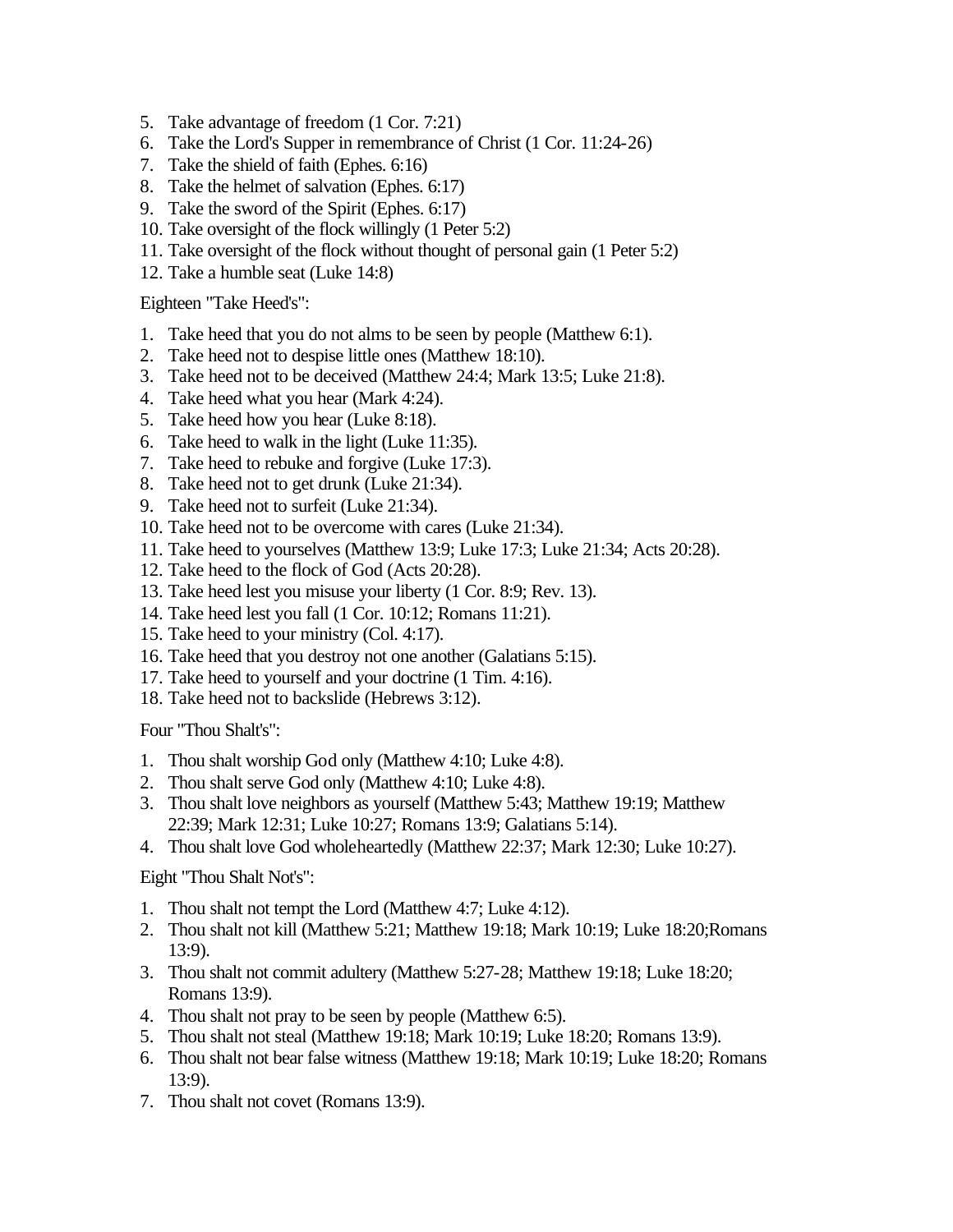- 5. Take advantage of freedom (1 Cor. 7:21)
- 6. Take the Lord's Supper in remembrance of Christ (1 Cor. 11:24-26)
- 7. Take the shield of faith (Ephes. 6:16)
- 8. Take the helmet of salvation (Ephes. 6:17)
- 9. Take the sword of the Spirit (Ephes. 6:17)
- 10. Take oversight of the flock willingly (1 Peter 5:2)
- 11. Take oversight of the flock without thought of personal gain (1 Peter 5:2)
- 12. Take a humble seat (Luke 14:8)

Eighteen "Take Heed's":

- 1. Take heed that you do not alms to be seen by people (Matthew 6:1).
- 2. Take heed not to despise little ones (Matthew 18:10).
- 3. Take heed not to be deceived (Matthew 24:4; Mark 13:5; Luke 21:8).
- 4. Take heed what you hear (Mark 4:24).
- 5. Take heed how you hear (Luke 8:18).
- 6. Take heed to walk in the light (Luke 11:35).
- 7. Take heed to rebuke and forgive (Luke 17:3).
- 8. Take heed not to get drunk (Luke 21:34).
- 9. Take heed not to surfeit (Luke 21:34).
- 10. Take heed not to be overcome with cares (Luke 21:34).
- 11. Take heed to yourselves (Matthew 13:9; Luke 17:3; Luke 21:34; Acts 20:28).
- 12. Take heed to the flock of God (Acts 20:28).
- 13. Take heed lest you misuse your liberty (1 Cor. 8:9; Rev. 13).
- 14. Take heed lest you fall (1 Cor. 10:12; Romans 11:21).
- 15. Take heed to your ministry (Col. 4:17).
- 16. Take heed that you destroy not one another (Galatians 5:15).
- 17. Take heed to yourself and your doctrine (1 Tim. 4:16).
- 18. Take heed not to backslide (Hebrews 3:12).

Four "Thou Shalt's":

- 1. Thou shalt worship God only (Matthew 4:10; Luke 4:8).
- 2. Thou shalt serve God only (Matthew 4:10; Luke 4:8).
- 3. Thou shalt love neighbors as yourself (Matthew 5:43; Matthew 19:19; Matthew 22:39; Mark 12:31; Luke 10:27; Romans 13:9; Galatians 5:14).
- 4. Thou shalt love God wholeheartedly (Matthew 22:37; Mark 12:30; Luke 10:27).

Eight "Thou Shalt Not's":

- 1. Thou shalt not tempt the Lord (Matthew 4:7; Luke 4:12).
- 2. Thou shalt not kill (Matthew 5:21; Matthew 19:18; Mark 10:19; Luke 18:20;Romans 13:9).
- 3. Thou shalt not commit adultery (Matthew 5:27-28; Matthew 19:18; Luke 18:20; Romans 13:9).
- 4. Thou shalt not pray to be seen by people (Matthew 6:5).
- 5. Thou shalt not steal (Matthew 19:18; Mark 10:19; Luke 18:20; Romans 13:9).
- 6. Thou shalt not bear false witness (Matthew 19:18; Mark 10:19; Luke 18:20; Romans 13:9).
- 7. Thou shalt not covet (Romans 13:9).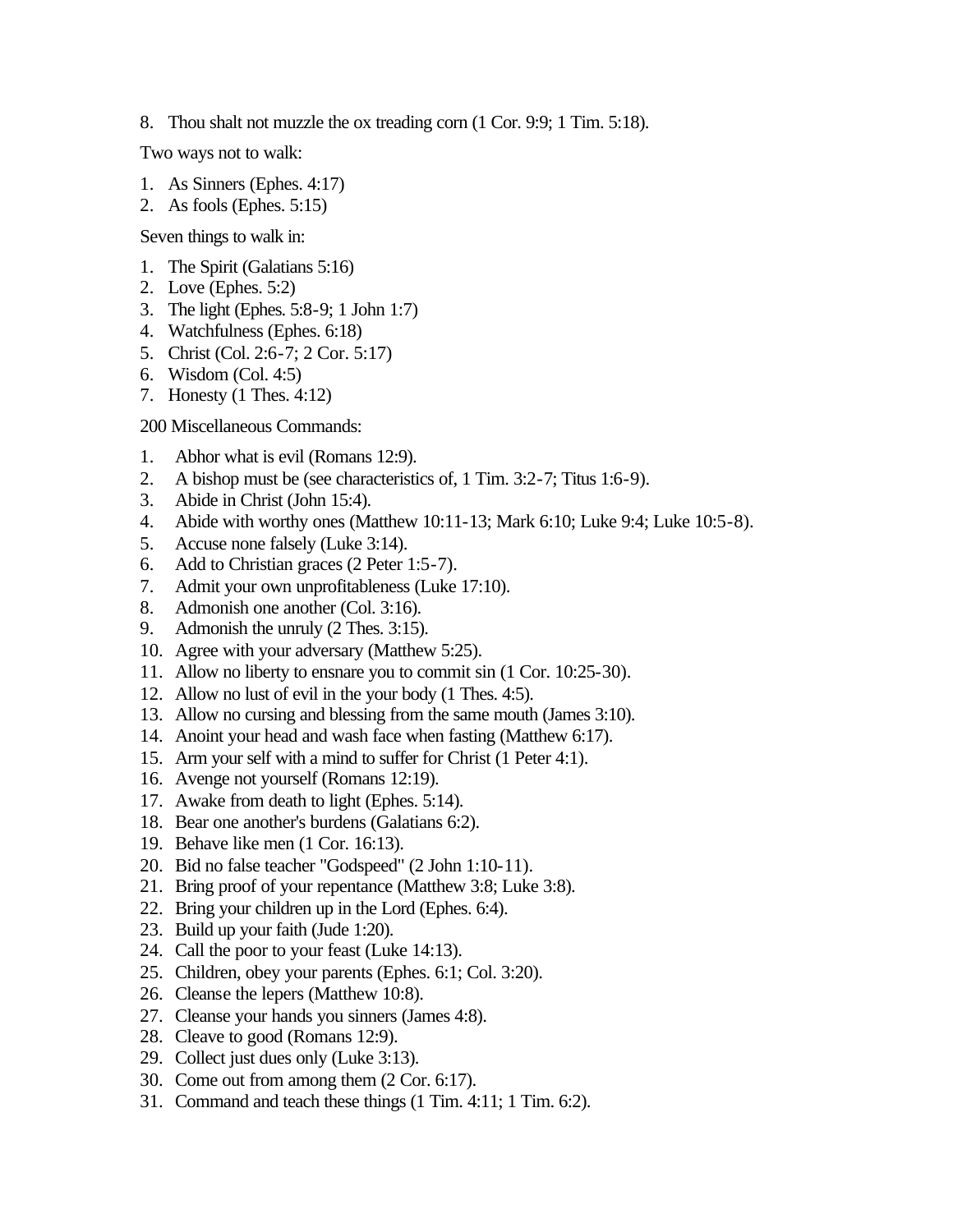8. Thou shalt not muzzle the ox treading corn (1 Cor. 9:9; 1 Tim. 5:18).

Two ways not to walk:

- 1. As Sinners (Ephes. 4:17)
- 2. As fools (Ephes. 5:15)

Seven things to walk in:

- 1. The Spirit (Galatians 5:16)
- 2. Love (Ephes. 5:2)
- 3. The light (Ephes. 5:8-9; 1 John 1:7)
- 4. Watchfulness (Ephes. 6:18)
- 5. Christ (Col. 2:6-7; 2 Cor. 5:17)
- 6. Wisdom (Col. 4:5)
- 7. Honesty (1 Thes. 4:12)

200 Miscellaneous Commands:

- 1. Abhor what is evil (Romans 12:9).
- 2. A bishop must be (see characteristics of, 1 Tim. 3:2-7; Titus 1:6-9).
- 3. Abide in Christ (John 15:4).
- 4. Abide with worthy ones (Matthew 10:11-13; Mark 6:10; Luke 9:4; Luke 10:5-8).
- 5. Accuse none falsely (Luke 3:14).
- 6. Add to Christian graces (2 Peter 1:5-7).
- 7. Admit your own unprofitableness (Luke 17:10).
- 8. Admonish one another (Col. 3:16).
- 9. Admonish the unruly (2 Thes. 3:15).
- 10. Agree with your adversary (Matthew 5:25).
- 11. Allow no liberty to ensnare you to commit sin (1 Cor. 10:25-30).
- 12. Allow no lust of evil in the your body (1 Thes. 4:5).
- 13. Allow no cursing and blessing from the same mouth (James 3:10).
- 14. Anoint your head and wash face when fasting (Matthew 6:17).
- 15. Arm your self with a mind to suffer for Christ (1 Peter 4:1).
- 16. Avenge not yourself (Romans 12:19).
- 17. Awake from death to light (Ephes. 5:14).
- 18. Bear one another's burdens (Galatians 6:2).
- 19. Behave like men (1 Cor. 16:13).
- 20. Bid no false teacher "Godspeed" (2 John 1:10-11).
- 21. Bring proof of your repentance (Matthew 3:8; Luke 3:8).
- 22. Bring your children up in the Lord (Ephes. 6:4).
- 23. Build up your faith (Jude 1:20).
- 24. Call the poor to your feast (Luke 14:13).
- 25. Children, obey your parents (Ephes. 6:1; Col. 3:20).
- 26. Cleanse the lepers (Matthew 10:8).
- 27. Cleanse your hands you sinners (James 4:8).
- 28. Cleave to good (Romans 12:9).
- 29. Collect just dues only (Luke 3:13).
- 30. Come out from among them (2 Cor. 6:17).
- 31. Command and teach these things (1 Tim. 4:11; 1 Tim. 6:2).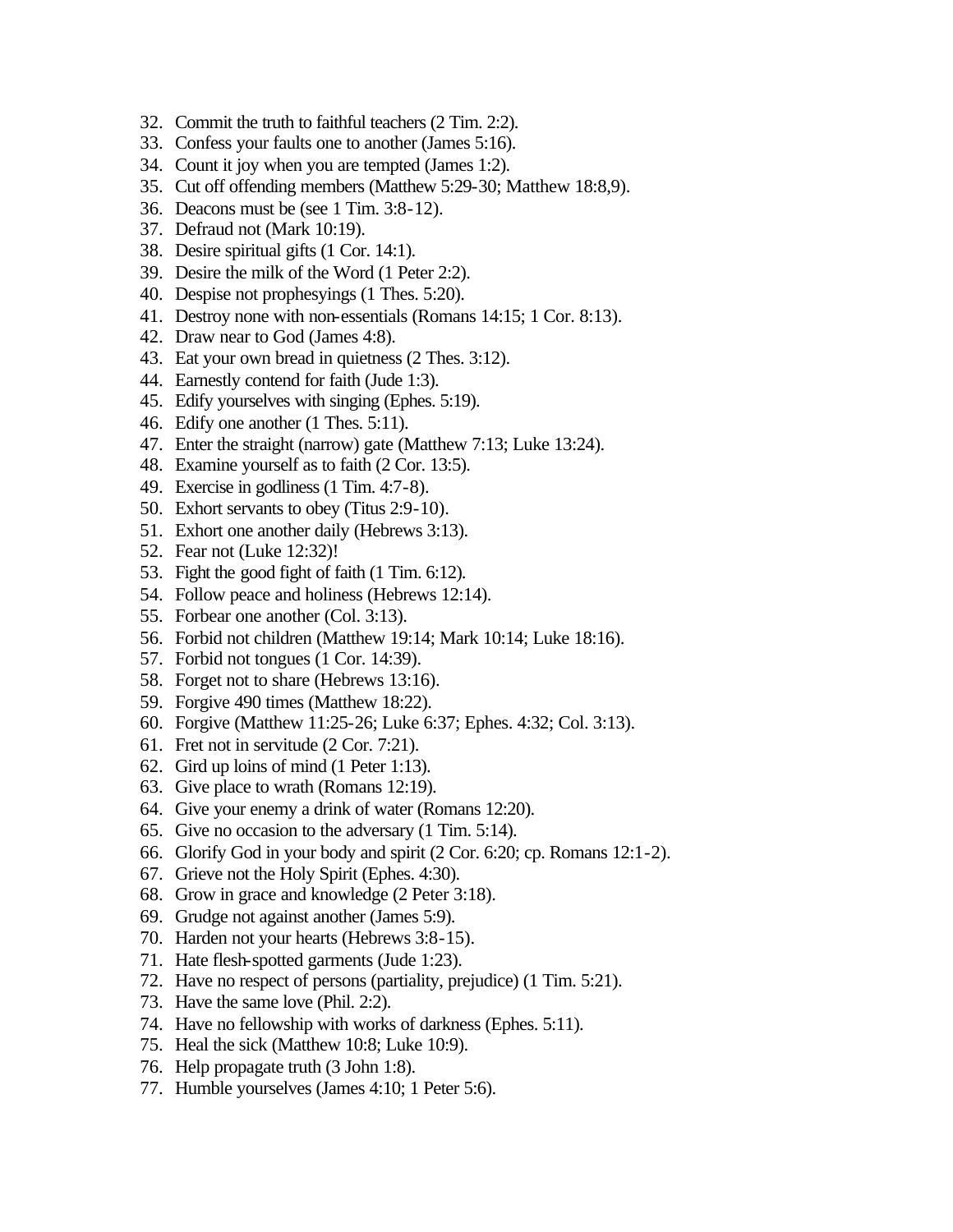- 32. Commit the truth to faithful teachers (2 Tim. 2:2).
- 33. Confess your faults one to another (James 5:16).
- 34. Count it joy when you are tempted (James 1:2).
- 35. Cut off offending members (Matthew 5:29-30; Matthew 18:8,9).
- 36. Deacons must be (see 1 Tim. 3:8-12).
- 37. Defraud not (Mark 10:19).
- 38. Desire spiritual gifts (1 Cor. 14:1).
- 39. Desire the milk of the Word (1 Peter 2:2).
- 40. Despise not prophesyings (1 Thes. 5:20).
- 41. Destroy none with non-essentials (Romans 14:15; 1 Cor. 8:13).
- 42. Draw near to God (James 4:8).
- 43. Eat your own bread in quietness (2 Thes. 3:12).
- 44. Earnestly contend for faith (Jude 1:3).
- 45. Edify yourselves with singing (Ephes. 5:19).
- 46. Edify one another (1 Thes. 5:11).
- 47. Enter the straight (narrow) gate (Matthew 7:13; Luke 13:24).
- 48. Examine yourself as to faith (2 Cor. 13:5).
- 49. Exercise in godliness (1 Tim. 4:7-8).
- 50. Exhort servants to obey (Titus 2:9-10).
- 51. Exhort one another daily (Hebrews 3:13).
- 52. Fear not (Luke 12:32)!
- 53. Fight the good fight of faith (1 Tim. 6:12).
- 54. Follow peace and holiness (Hebrews 12:14).
- 55. Forbear one another (Col. 3:13).
- 56. Forbid not children (Matthew 19:14; Mark 10:14; Luke 18:16).
- 57. Forbid not tongues (1 Cor. 14:39).
- 58. Forget not to share (Hebrews 13:16).
- 59. Forgive 490 times (Matthew 18:22).
- 60. Forgive (Matthew 11:25-26; Luke 6:37; Ephes. 4:32; Col. 3:13).
- 61. Fret not in servitude (2 Cor. 7:21).
- 62. Gird up loins of mind (1 Peter 1:13).
- 63. Give place to wrath (Romans 12:19).
- 64. Give your enemy a drink of water (Romans 12:20).
- 65. Give no occasion to the adversary (1 Tim. 5:14).
- 66. Glorify God in your body and spirit (2 Cor. 6:20; cp. Romans 12:1-2).
- 67. Grieve not the Holy Spirit (Ephes. 4:30).
- 68. Grow in grace and knowledge (2 Peter 3:18).
- 69. Grudge not against another (James 5:9).
- 70. Harden not your hearts (Hebrews 3:8-15).
- 71. Hate flesh-spotted garments (Jude 1:23).
- 72. Have no respect of persons (partiality, prejudice) (1 Tim. 5:21).
- 73. Have the same love (Phil. 2:2).
- 74. Have no fellowship with works of darkness (Ephes. 5:11).
- 75. Heal the sick (Matthew 10:8; Luke 10:9).
- 76. Help propagate truth (3 John 1:8).
- 77. Humble yourselves (James 4:10; 1 Peter 5:6).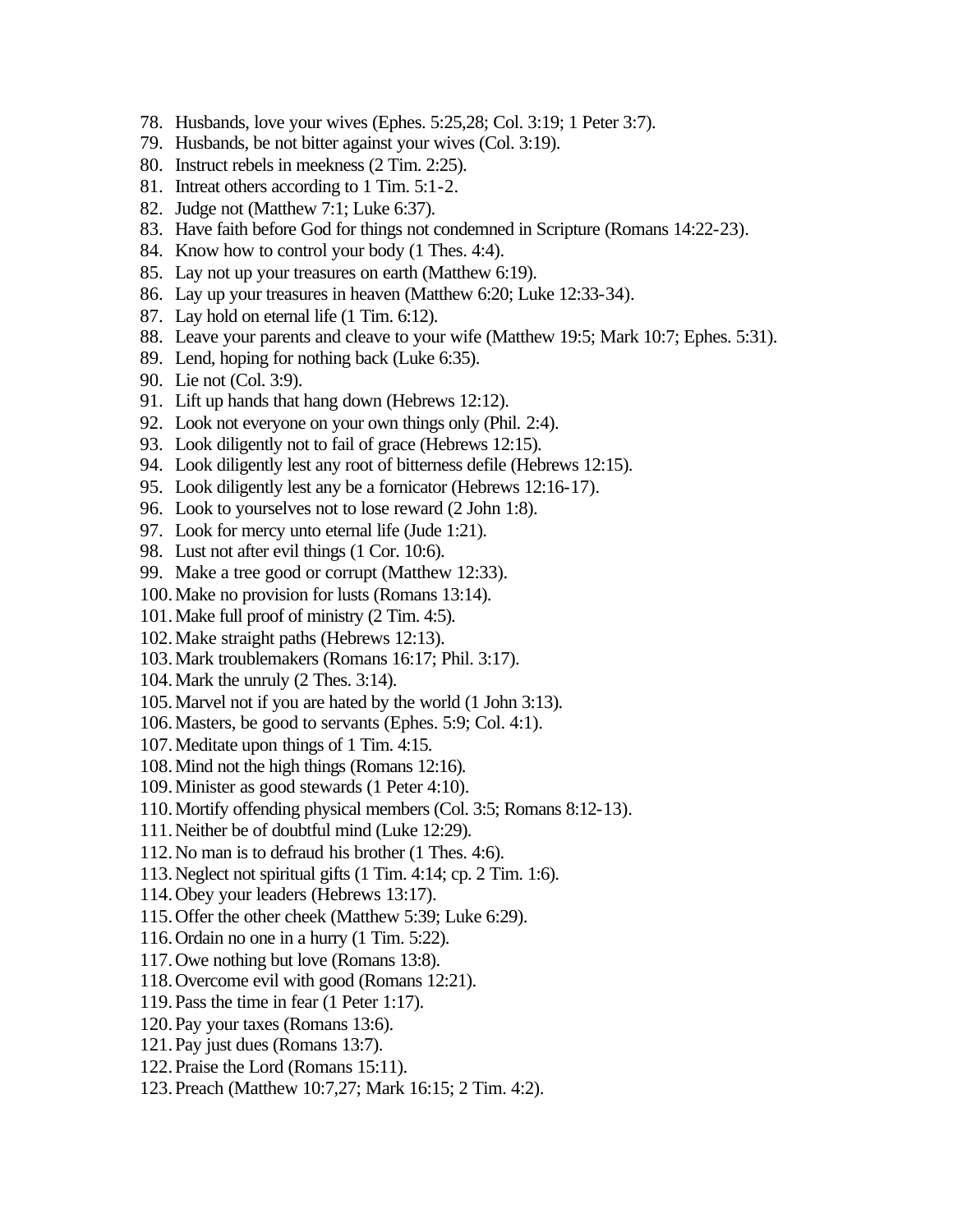- 78. Husbands, love your wives (Ephes. 5:25,28; Col. 3:19; 1 Peter 3:7).
- 79. Husbands, be not bitter against your wives (Col. 3:19).
- 80. Instruct rebels in meekness (2 Tim. 2:25).
- 81. Intreat others according to 1 Tim. 5:1-2.
- 82. Judge not (Matthew 7:1; Luke 6:37).
- 83. Have faith before God for things not condemned in Scripture (Romans 14:22-23).
- 84. Know how to control your body (1 Thes. 4:4).
- 85. Lay not up your treasures on earth (Matthew 6:19).
- 86. Lay up your treasures in heaven (Matthew 6:20; Luke 12:33-34).
- 87. Lay hold on eternal life (1 Tim. 6:12).
- 88. Leave your parents and cleave to your wife (Matthew 19:5; Mark 10:7; Ephes. 5:31).
- 89. Lend, hoping for nothing back (Luke 6:35).
- 90. Lie not (Col. 3:9).
- 91. Lift up hands that hang down (Hebrews 12:12).
- 92. Look not everyone on your own things only (Phil. 2:4).
- 93. Look diligently not to fail of grace (Hebrews 12:15).
- 94. Look diligently lest any root of bitterness defile (Hebrews 12:15).
- 95. Look diligently lest any be a fornicator (Hebrews 12:16-17).
- 96. Look to yourselves not to lose reward (2 John 1:8).
- 97. Look for mercy unto eternal life (Jude 1:21).
- 98. Lust not after evil things (1 Cor. 10:6).
- 99. Make a tree good or corrupt (Matthew 12:33).
- 100.Make no provision for lusts (Romans 13:14).
- 101.Make full proof of ministry (2 Tim. 4:5).
- 102.Make straight paths (Hebrews 12:13).
- 103.Mark troublemakers (Romans 16:17; Phil. 3:17).
- 104.Mark the unruly (2 Thes. 3:14).
- 105.Marvel not if you are hated by the world (1 John 3:13).
- 106.Masters, be good to servants (Ephes. 5:9; Col. 4:1).
- 107.Meditate upon things of 1 Tim. 4:15.
- 108.Mind not the high things (Romans 12:16).
- 109.Minister as good stewards (1 Peter 4:10).
- 110.Mortify offending physical members (Col. 3:5; Romans 8:12-13).
- 111.Neither be of doubtful mind (Luke 12:29).
- 112.No man is to defraud his brother (1 Thes. 4:6).
- 113.Neglect not spiritual gifts (1 Tim. 4:14; cp. 2 Tim. 1:6).
- 114.Obey your leaders (Hebrews 13:17).
- 115.Offer the other cheek (Matthew 5:39; Luke 6:29).
- 116.Ordain no one in a hurry (1 Tim. 5:22).
- 117.Owe nothing but love (Romans 13:8).
- 118.Overcome evil with good (Romans 12:21).
- 119.Pass the time in fear (1 Peter 1:17).
- 120.Pay your taxes (Romans 13:6).
- 121.Pay just dues (Romans 13:7).
- 122.Praise the Lord (Romans 15:11).
- 123.Preach (Matthew 10:7,27; Mark 16:15; 2 Tim. 4:2).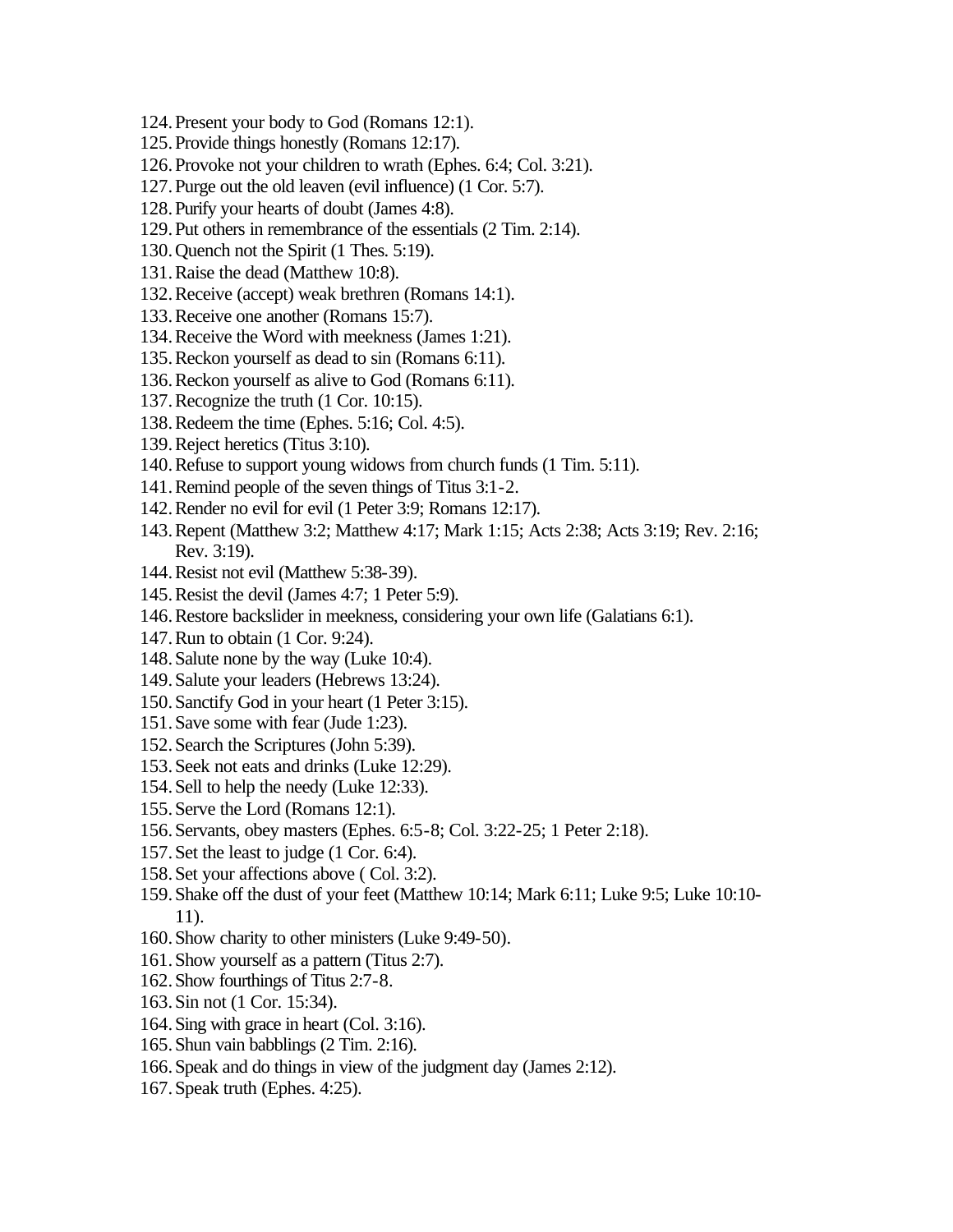- 124.Present your body to God (Romans 12:1).
- 125.Provide things honestly (Romans 12:17).
- 126.Provoke not your children to wrath (Ephes. 6:4; Col. 3:21).
- 127.Purge out the old leaven (evil influence) (1 Cor. 5:7).
- 128.Purify your hearts of doubt (James 4:8).
- 129.Put others in remembrance of the essentials (2 Tim. 2:14).
- 130.Quench not the Spirit (1 Thes. 5:19).
- 131.Raise the dead (Matthew 10:8).
- 132.Receive (accept) weak brethren (Romans 14:1).
- 133.Receive one another (Romans 15:7).
- 134.Receive the Word with meekness (James 1:21).
- 135.Reckon yourself as dead to sin (Romans 6:11).
- 136.Reckon yourself as alive to God (Romans 6:11).
- 137.Recognize the truth (1 Cor. 10:15).
- 138.Redeem the time (Ephes. 5:16; Col. 4:5).
- 139.Reject heretics (Titus 3:10).
- 140.Refuse to support young widows from church funds (1 Tim. 5:11).
- 141.Remind people of the seven things of Titus 3:1-2.
- 142.Render no evil for evil (1 Peter 3:9; Romans 12:17).
- 143.Repent (Matthew 3:2; Matthew 4:17; Mark 1:15; Acts 2:38; Acts 3:19; Rev. 2:16; Rev. 3:19).
- 144.Resist not evil (Matthew 5:38-39).
- 145.Resist the devil (James 4:7; 1 Peter 5:9).
- 146.Restore backslider in meekness, considering your own life (Galatians 6:1).
- 147.Run to obtain (1 Cor. 9:24).
- 148.Salute none by the way (Luke 10:4).
- 149.Salute your leaders (Hebrews 13:24).
- 150.Sanctify God in your heart (1 Peter 3:15).
- 151.Save some with fear (Jude 1:23).
- 152.Search the Scriptures (John 5:39).
- 153.Seek not eats and drinks (Luke 12:29).
- 154.Sell to help the needy (Luke 12:33).
- 155.Serve the Lord (Romans 12:1).
- 156.Servants, obey masters (Ephes. 6:5-8; Col. 3:22-25; 1 Peter 2:18).
- 157.Set the least to judge (1 Cor. 6:4).
- 158.Set your affections above ( Col. 3:2).
- 159.Shake off the dust of your feet (Matthew 10:14; Mark 6:11; Luke 9:5; Luke 10:10- 11).
- 160.Show charity to other ministers (Luke 9:49-50).
- 161.Show yourself as a pattern (Titus 2:7).
- 162.Show fourthings of Titus 2:7-8.
- 163.Sin not (1 Cor. 15:34).
- 164.Sing with grace in heart (Col. 3:16).
- 165.Shun vain babblings (2 Tim. 2:16).
- 166.Speak and do things in view of the judgment day (James 2:12).
- 167.Speak truth (Ephes. 4:25).